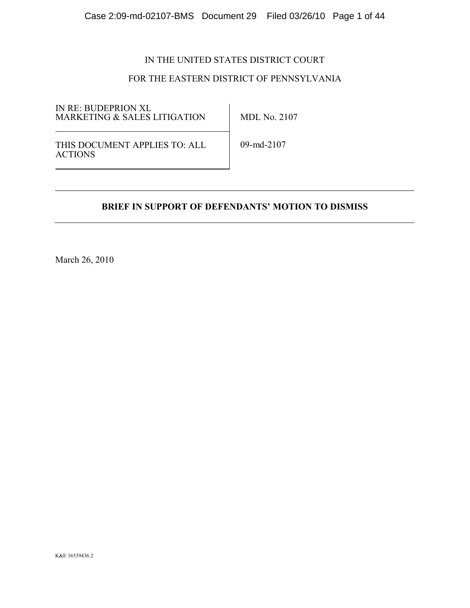## IN THE UNITED STATES DISTRICT COURT

## FOR THE EASTERN DISTRICT OF PENNSYLVANIA

IN RE: BUDEPRION XL MARKETING & SALES LITIGATION

MDL No. 2107

THIS DOCUMENT APPLIES TO: ALL ACTIONS

09-md-2107

## **BRIEF IN SUPPORT OF DEFENDANTS' MOTION TO DISMISS**

March 26, 2010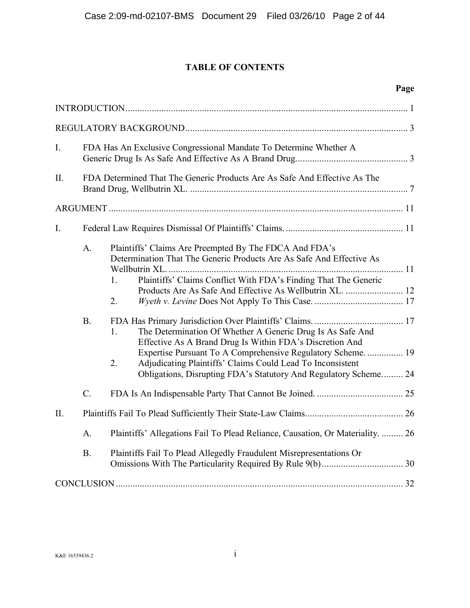## **TABLE OF CONTENTS**

|--|

| $I_{\cdot}$     | FDA Has An Exclusive Congressional Mandate To Determine Whether A                                                                                                                                                                                                                                                                                                                                                                                                                                                                                     |
|-----------------|-------------------------------------------------------------------------------------------------------------------------------------------------------------------------------------------------------------------------------------------------------------------------------------------------------------------------------------------------------------------------------------------------------------------------------------------------------------------------------------------------------------------------------------------------------|
| II.             | FDA Determined That The Generic Products Are As Safe And Effective As The                                                                                                                                                                                                                                                                                                                                                                                                                                                                             |
|                 |                                                                                                                                                                                                                                                                                                                                                                                                                                                                                                                                                       |
| $I_{\cdot}$     |                                                                                                                                                                                                                                                                                                                                                                                                                                                                                                                                                       |
| A.<br>B.        | Plaintiffs' Claims Are Preempted By The FDCA And FDA's<br>Determination That The Generic Products Are As Safe And Effective As<br>Plaintiffs' Claims Conflict With FDA's Finding That The Generic<br>1.<br>2.<br>The Determination Of Whether A Generic Drug Is As Safe And<br>1.<br>Effective As A Brand Drug Is Within FDA's Discretion And<br>Expertise Pursuant To A Comprehensive Regulatory Scheme.  19<br>Adjudicating Plaintiffs' Claims Could Lead To Inconsistent<br>2.<br>Obligations, Disrupting FDA's Statutory And Regulatory Scheme 24 |
| $\mathcal{C}$ . |                                                                                                                                                                                                                                                                                                                                                                                                                                                                                                                                                       |
| II.             |                                                                                                                                                                                                                                                                                                                                                                                                                                                                                                                                                       |
| A.              | Plaintiffs' Allegations Fail To Plead Reliance, Causation, Or Materiality.  26                                                                                                                                                                                                                                                                                                                                                                                                                                                                        |
| <b>B.</b>       | Plaintiffs Fail To Plead Allegedly Fraudulent Misrepresentations Or                                                                                                                                                                                                                                                                                                                                                                                                                                                                                   |
|                 |                                                                                                                                                                                                                                                                                                                                                                                                                                                                                                                                                       |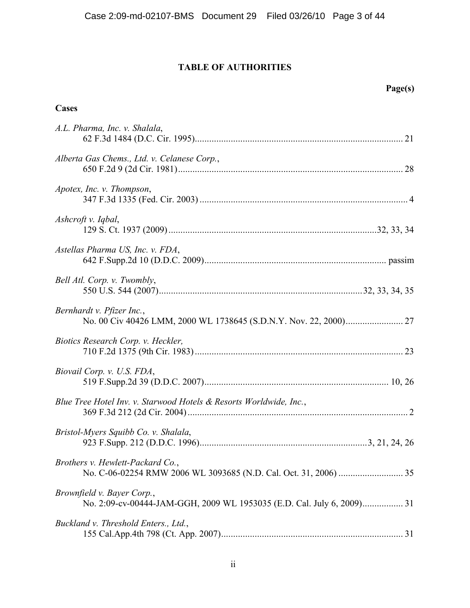## **TABLE OF AUTHORITIES**

**Page(s)**

| Cases                                                                                                |  |
|------------------------------------------------------------------------------------------------------|--|
| A.L. Pharma, Inc. v. Shalala,                                                                        |  |
| Alberta Gas Chems., Ltd. v. Celanese Corp.,                                                          |  |
| Apotex, Inc. v. Thompson,                                                                            |  |
| Ashcroft v. Iqbal,                                                                                   |  |
| Astellas Pharma US, Inc. v. FDA,                                                                     |  |
| Bell Atl. Corp. v. Twombly,                                                                          |  |
| Bernhardt v. Pfizer Inc.,                                                                            |  |
| Biotics Research Corp. v. Heckler,                                                                   |  |
| Biovail Corp. v. U.S. FDA,                                                                           |  |
| Blue Tree Hotel Inv. v. Starwood Hotels & Resorts Worldwide, Inc.,                                   |  |
| Bristol-Myers Squibb Co. v. Shalala,                                                                 |  |
| Brothers v. Hewlett-Packard Co.,                                                                     |  |
| Brownfield v. Bayer Corp.,<br>No. 2:09-cv-00444-JAM-GGH, 2009 WL 1953035 (E.D. Cal. July 6, 2009) 31 |  |
| Buckland v. Threshold Enters., Ltd.,                                                                 |  |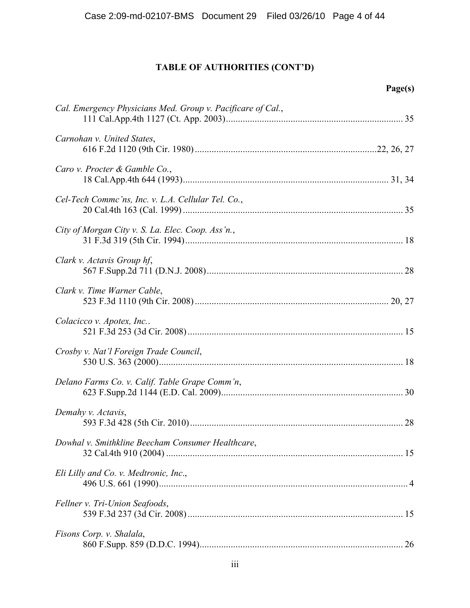|                                                             | Page(s) |
|-------------------------------------------------------------|---------|
| Cal. Emergency Physicians Med. Group v. Pacificare of Cal., |         |
| Carnohan v. United States,                                  |         |
| Caro v. Procter & Gamble Co.,                               |         |
| Cel-Tech Commc'ns, Inc. v. L.A. Cellular Tel. Co.,          |         |
| City of Morgan City v. S. La. Elec. Coop. Ass'n.,           |         |
| Clark v. Actavis Group hf,                                  |         |
| Clark v. Time Warner Cable,                                 |         |
| Colacicco v. Apotex, Inc                                    |         |
| Crosby v. Nat'l Foreign Trade Council,                      |         |
| Delano Farms Co. v. Calif. Table Grape Comm'n,              |         |
| Demahy v. Actavis,                                          |         |
| Dowhal v. Smithkline Beecham Consumer Healthcare,           |         |
| Eli Lilly and Co. v. Medtronic, Inc.,                       |         |
| Fellner v. Tri-Union Seafoods,                              |         |
| Fisons Corp. v. Shalala,                                    |         |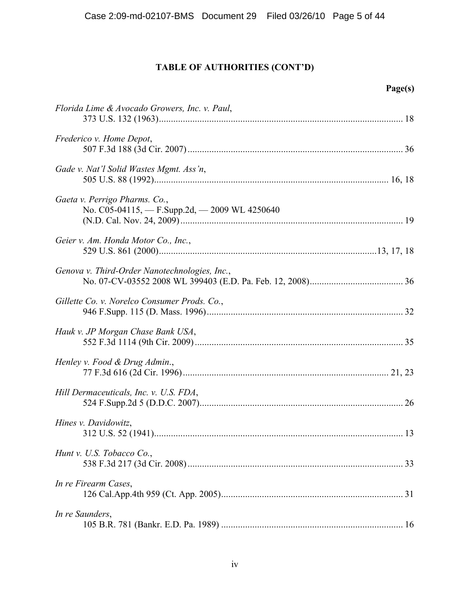| Florida Lime & Avocado Growers, Inc. v. Paul,                                  |  |
|--------------------------------------------------------------------------------|--|
| Frederico v. Home Depot,                                                       |  |
| Gade v. Nat'l Solid Wastes Mgmt. Ass'n,                                        |  |
| Gaeta v. Perrigo Pharms. Co.,<br>No. C05-04115, - F.Supp.2d, - 2009 WL 4250640 |  |
| Geier v. Am. Honda Motor Co., Inc.,                                            |  |
| Genova v. Third-Order Nanotechnologies, Inc.,                                  |  |
| Gillette Co. v. Norelco Consumer Prods. Co.,                                   |  |
| Hauk v. JP Morgan Chase Bank USA,                                              |  |
| Henley v. Food & Drug Admin.,                                                  |  |
| Hill Dermaceuticals, Inc. v. U.S. FDA,                                         |  |
| Hines v. Davidowitz,                                                           |  |
| Hunt v. U.S. Tobacco Co.,                                                      |  |
| In re Firearm Cases,                                                           |  |
| In re Saunders,                                                                |  |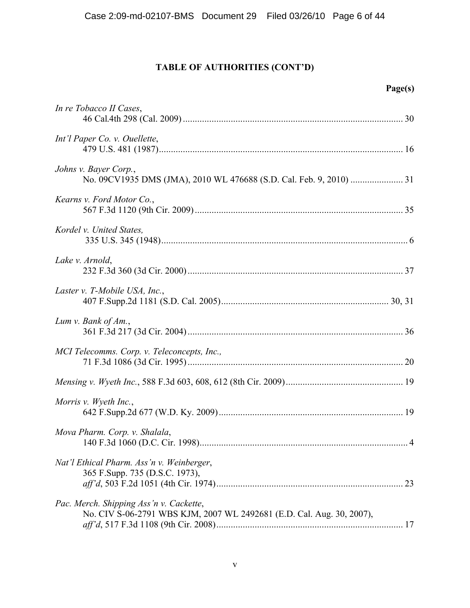| - 150<br>л<br>٠ |
|-----------------|
|-----------------|

| In re Tobacco II Cases,                                                                                          |  |
|------------------------------------------------------------------------------------------------------------------|--|
| Int'l Paper Co. v. Ouellette,                                                                                    |  |
| Johns v. Bayer Corp.,                                                                                            |  |
| Kearns v. Ford Motor Co.,                                                                                        |  |
| Kordel v. United States,                                                                                         |  |
| Lake v. Arnold,                                                                                                  |  |
| Laster v. T-Mobile USA, Inc.,                                                                                    |  |
| Lum v. Bank of $Am.$ ,                                                                                           |  |
| MCI Telecomms. Corp. v. Teleconcepts, Inc.,                                                                      |  |
|                                                                                                                  |  |
| Morris v. Wyeth Inc.,                                                                                            |  |
| Mova Pharm. Corp. v. Shalala,                                                                                    |  |
| Nat'l Ethical Pharm. Ass'n v. Weinberger,<br>365 F.Supp. 735 (D.S.C. 1973),                                      |  |
| Pac. Merch. Shipping Ass'n v. Cackette,<br>No. CIV S-06-2791 WBS KJM, 2007 WL 2492681 (E.D. Cal. Aug. 30, 2007), |  |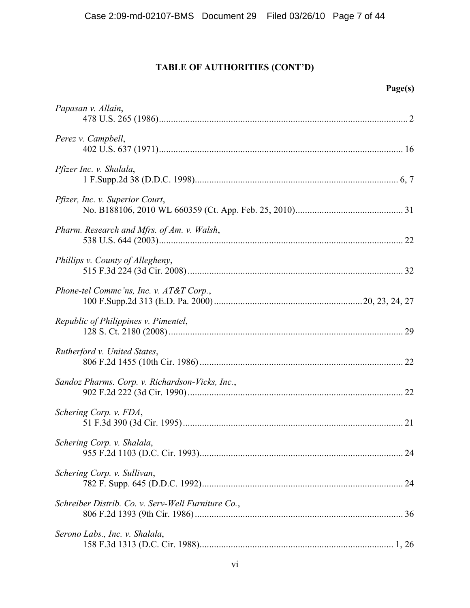| 1т Д<br>۰ |
|-----------|
|-----------|

| Papasan v. Allain,                                 |  |
|----------------------------------------------------|--|
| Perez v. Campbell,                                 |  |
| Pfizer Inc. v. Shalala,                            |  |
| <i>Pfizer, Inc. v. Superior Court,</i>             |  |
| Pharm. Research and Mfrs. of Am. v. Walsh,         |  |
| Phillips v. County of Allegheny,                   |  |
| Phone-tel Commc'ns, Inc. v. AT&T Corp.,            |  |
| Republic of Philippines v. Pimentel,               |  |
| Rutherford v. United States,                       |  |
| Sandoz Pharms. Corp. v. Richardson-Vicks, Inc.,    |  |
| Schering Corp. v. FDA,                             |  |
| Schering Corp. v. Shalala,                         |  |
| Schering Corp. v. Sullivan,                        |  |
| Schreiber Distrib. Co. v. Serv-Well Furniture Co., |  |
| Serono Labs., Inc. v. Shalala,                     |  |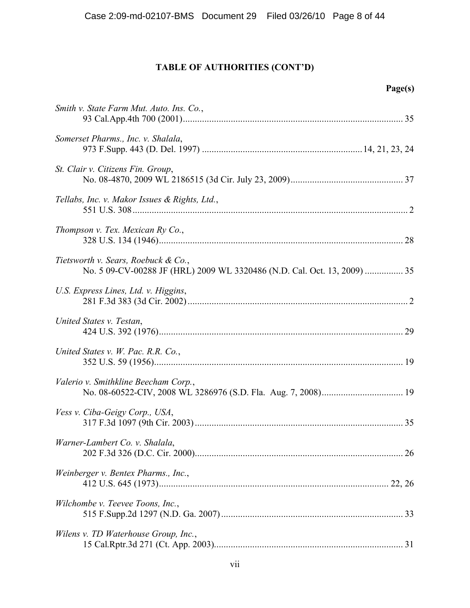|                                                                                                                 | Page(s) |
|-----------------------------------------------------------------------------------------------------------------|---------|
| Smith v. State Farm Mut. Auto. Ins. Co.,                                                                        |         |
| Somerset Pharms., Inc. v. Shalala,                                                                              |         |
| St. Clair v. Citizens Fin. Group,                                                                               |         |
| Tellabs, Inc. v. Makor Issues & Rights, Ltd.,                                                                   |         |
| Thompson v. Tex. Mexican Ry Co.,                                                                                |         |
| Tietsworth v. Sears, Roebuck & Co.,<br>No. 5 09-CV-00288 JF (HRL) 2009 WL 3320486 (N.D. Cal. Oct. 13, 2009)  35 |         |
| U.S. Express Lines, Ltd. v. Higgins,                                                                            |         |
| United States v. Testan,                                                                                        |         |
| United States v. W. Pac. R.R. Co.,                                                                              |         |
| Valerio v. Smithkline Beecham Corp.,                                                                            |         |
| Vess v. Ciba-Geigy Corp., USA,                                                                                  |         |
| Warner-Lambert Co. v. Shalala,                                                                                  |         |
| Weinberger v. Bentex Pharms., Inc.,                                                                             |         |
| Wilchombe v. Teevee Toons, Inc.,                                                                                |         |
| Wilens v. TD Waterhouse Group, Inc.,                                                                            |         |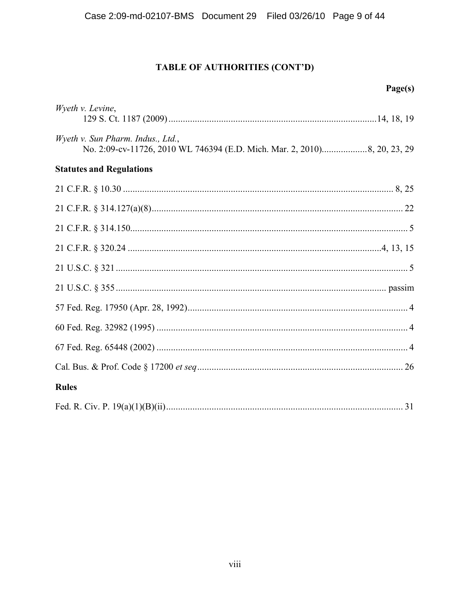|                                   | Page(s) |
|-----------------------------------|---------|
| Wyeth v. Levine,                  |         |
| Wyeth v. Sun Pharm. Indus., Ltd., |         |
| <b>Statutes and Regulations</b>   |         |
|                                   |         |
|                                   |         |
|                                   |         |
|                                   |         |
|                                   |         |
|                                   |         |
|                                   |         |
|                                   |         |
|                                   |         |
|                                   |         |
| <b>Rules</b>                      |         |
|                                   |         |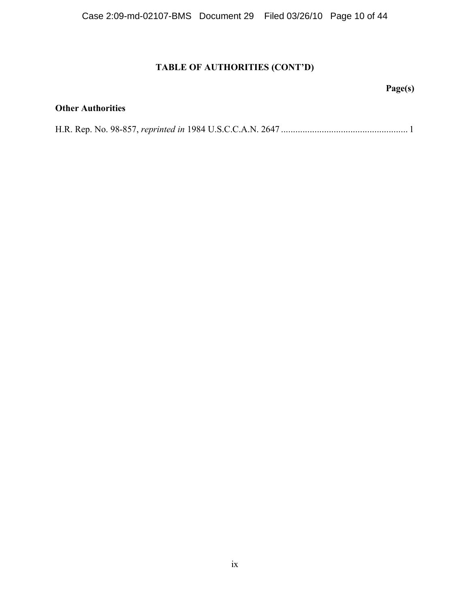## **Page(s)**

## **Other Authorities**

H.R. Rep. No. 98-857, *reprinted in* 1984 U.S.C.C.A.N. 2647 ..................................................... 1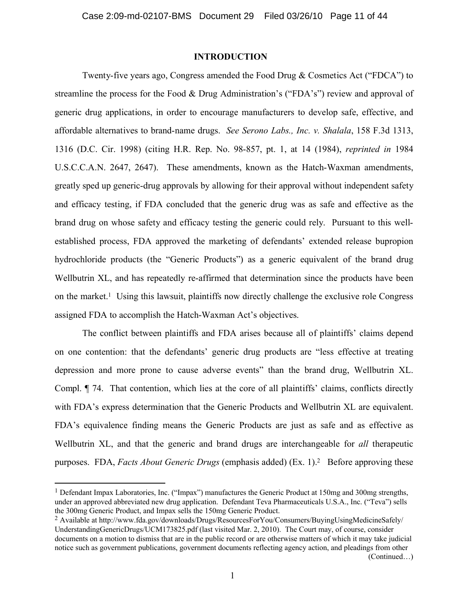#### **INTRODUCTION**

Twenty-five years ago, Congress amended the Food Drug & Cosmetics Act ("FDCA") to streamline the process for the Food & Drug Administration's ("FDA's") review and approval of generic drug applications, in order to encourage manufacturers to develop safe, effective, and affordable alternatives to brand-name drugs. *See Serono Labs., Inc. v. Shalala*, 158 F.3d 1313, 1316 (D.C. Cir. 1998) (citing H.R. Rep. No. 98-857, pt. 1, at 14 (1984), *reprinted in* 1984 U.S.C.C.A.N. 2647, 2647). These amendments, known as the Hatch-Waxman amendments, greatly sped up generic-drug approvals by allowing for their approval without independent safety and efficacy testing, if FDA concluded that the generic drug was as safe and effective as the brand drug on whose safety and efficacy testing the generic could rely. Pursuant to this wellestablished process, FDA approved the marketing of defendants' extended release bupropion hydrochloride products (the "Generic Products") as a generic equivalent of the brand drug Wellbutrin XL, and has repeatedly re-affirmed that determination since the products have been on the market.<sup>1</sup> Using this lawsuit, plaintiffs now directly challenge the exclusive role Congress assigned FDA to accomplish the Hatch-Waxman Act's objectives.

The conflict between plaintiffs and FDA arises because all of plaintiffs' claims depend on one contention: that the defendants' generic drug products are "less effective at treating depression and more prone to cause adverse events" than the brand drug, Wellbutrin XL. Compl. ¶ 74. That contention, which lies at the core of all plaintiffs' claims, conflicts directly with FDA's express determination that the Generic Products and Wellbutrin XL are equivalent. FDA's equivalence finding means the Generic Products are just as safe and as effective as Wellbutrin XL, and that the generic and brand drugs are interchangeable for *all* therapeutic purposes. FDA, *Facts About Generic Drugs* (emphasis added) (Ex. 1).<sup>2</sup> Before approving these

(Continued…)

<sup>&</sup>lt;sup>1</sup> Defendant Impax Laboratories, Inc. ("Impax") manufactures the Generic Product at 150mg and 300mg strengths, under an approved abbreviated new drug application. Defendant Teva Pharmaceuticals U.S.A., Inc. ("Teva") sells the 300mg Generic Product, and Impax sells the 150mg Generic Product.

<sup>&</sup>lt;sup>2</sup> Available at ht[tp://ww](JUU\<iiYYY*WFG*TARiFAYNPAGFMi1HQTMi4SMAQHISM7AH9AQi5ANMQESHMi=Q]LN)[w.fda.gov/downloads/Drugs/ResourcesForYou/Consumers/BuyingUsingMedicineS](YYY*WFG*TARiFAYNPAGFMi1HQTMi4SMAQHISM7AH9AQi5ANMQESHMi=Q]LN)afely/ UnderstandingGenericDrugs/UCM173825.pdf (last visited Mar. 2, 2010). The Court may, of course, consider documents on a motion to dismiss that are in the public record or are otherwise matters of which it may take judicial notice such as government publications, government documents reflecting agency action, and pleadings from other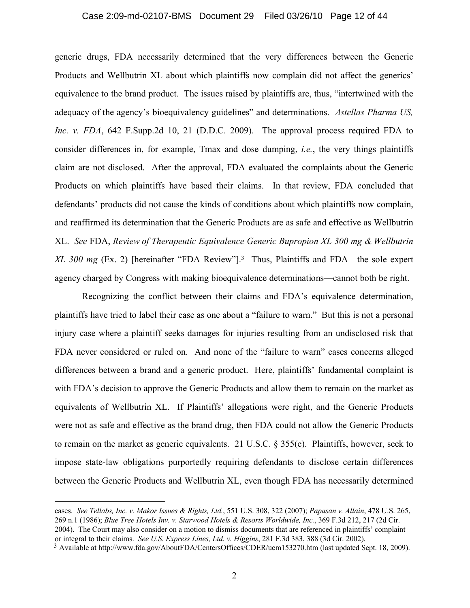## Case 2:09-md-02107-BMS Document 29 Filed 03/26/10 Page 12 of 44

generic drugs, FDA necessarily determined that the very differences between the Generic Products and Wellbutrin XL about which plaintiffs now complain did not affect the generics' equivalence to the brand product. The issues raised by plaintiffs are, thus, "intertwined with the adequacy of the agency's bioequivalency guidelines" and determinations. *Astellas Pharma US, Inc. v. FDA*, 642 F.Supp.2d 10, 21 (D.D.C. 2009). The approval process required FDA to consider differences in, for example, Tmax and dose dumping, *i.e.*, the very things plaintiffs claim are not disclosed. After the approval, FDA evaluated the complaints about the Generic Products on which plaintiffs have based their claims. In that review, FDA concluded that defendants' products did not cause the kinds of conditions about which plaintiffs now complain, and reaffirmed its determination that the Generic Products are as safe and effective as Wellbutrin XL. *See* FDA, *Review of Therapeutic Equivalence Generic Bupropion XL 300 mg & Wellbutrin XL 300 mg* (Ex. 2) [hereinafter "FDA Review"].<sup>3</sup> Thus, Plaintiffs and FDA—the sole expert agency charged by Congress with making bioequivalence determinations—cannot both be right.

Recognizing the conflict between their claims and FDA's equivalence determination, plaintiffs have tried to label their case as one about a "failure to warn." But this is not a personal injury case where a plaintiff seeks damages for injuries resulting from an undisclosed risk that FDA never considered or ruled on. And none of the "failure to warn" cases concerns alleged differences between a brand and a generic product. Here, plaintiffs' fundamental complaint is with FDA's decision to approve the Generic Products and allow them to remain on the market as equivalents of Wellbutrin XL. If Plaintiffs' allegations were right, and the Generic Products were not as safe and effective as the brand drug, then FDA could not allow the Generic Products to remain on the market as generic equivalents. 21 U.S.C. § 355(e). Plaintiffs, however, seek to impose state-law obligations purportedly requiring defendants to disclose certain differences between the Generic Products and Wellbutrin XL, even though FDA has necessarily determined

cases. *See Tellabs, Inc. v. Makor Issues & Rights, Ltd.*, 551 U.S. 308, 322 (2007); *Papasan v. Allain*, 478 U.S. 265, 269 n.1 (1986); *Blue Tree Hotels Inv. v. Starwood Hotels & Resorts Worldwide, Inc.*, 369 F.3d 212, 217 (2d Cir. 2004). The Court may also consider on a motion to dismiss documents that are referenced in plaintiffs' complaint or integral to their claims. *See U.S. Express Lines, Ltd. v. Higgins*, 281 F.3d 383, 388 (3d Cir. 2002).

<sup>3</sup> Available at ht[tp://www](JUU\<iiYYY*WFG*TARi3XAQU713i5SNUSHM6WWLISMi51#4iQIE$&)[.fda.gov/AboutFDA/CentersOffices/CDER/ucm153270.htm \(last updated Se](YYY*WFG*TARi3XAQU713i5SNUSHM6WWLISMi51#4iQIE$&)pt. 18, 2009).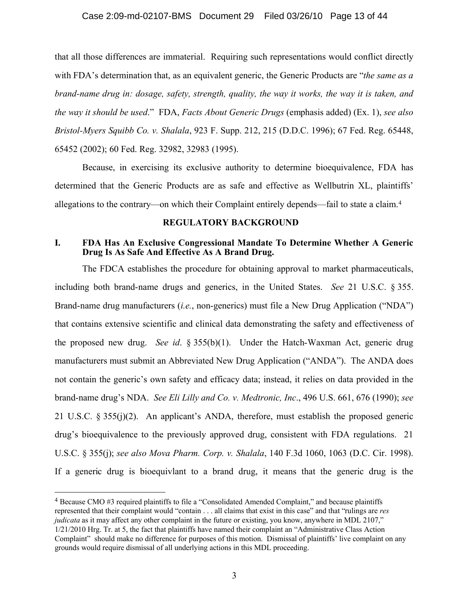#### Case 2:09-md-02107-BMS Document 29 Filed 03/26/10 Page 13 of 44

that all those differences are immaterial. Requiring such representations would conflict directly with FDA's determination that, as an equivalent generic, the Generic Products are "*the same as a brand-name drug in: dosage, safety, strength, quality, the way it works, the way it is taken, and the way it should be used*." FDA, *Facts About Generic Drugs* (emphasis added) (Ex. 1), *see also Bristol-Myers Squibb Co. v. Shalala*, 923 F. Supp. 212, 215 (D.D.C. 1996); 67 Fed. Reg. 65448, 65452 (2002); 60 Fed. Reg. 32982, 32983 (1995).

Because, in exercising its exclusive authority to determine bioequivalence, FDA has determined that the Generic Products are as safe and effective as Wellbutrin XL, plaintiffs' allegations to the contrary—on which their Complaint entirely depends—fail to state a claim.<sup>4</sup>

#### **REGULATORY BACKGROUND**

### **I. FDA Has An Exclusive Congressional Mandate To Determine Whether A Generic Drug Is As Safe And Effective As A Brand Drug.**

The FDCA establishes the procedure for obtaining approval to market pharmaceuticals, including both brand-name drugs and generics, in the United States. *See* 21 U.S.C. § 355. Brand-name drug manufacturers (*i.e.*, non-generics) must file a New Drug Application ("NDA") that contains extensive scientific and clinical data demonstrating the safety and effectiveness of the proposed new drug. *See id*. § 355(b)(1). Under the Hatch-Waxman Act, generic drug manufacturers must submit an Abbreviated New Drug Application ("ANDA"). The ANDA does not contain the generic's own safety and efficacy data; instead, it relies on data provided in the brand-name drug's NDA. *See Eli Lilly and Co. v. Medtronic, Inc*., 496 U.S. 661, 676 (1990); *see*  21 U.S.C. § 355(j)(2). An applicant's ANDA, therefore, must establish the proposed generic drug's bioequivalence to the previously approved drug, consistent with FDA regulations. 21 U.S.C. § 355(j); *see also Mova Pharm. Corp. v. Shalala*, 140 F.3d 1060, 1063 (D.C. Cir. 1998). If a generic drug is bioequivlant to a brand drug, it means that the generic drug is the

<sup>4</sup> Because CMO #3 required plaintiffs to file a "Consolidated Amended Complaint," and because plaintiffs represented that their complaint would "contain . . . all claims that exist in this case" and that "rulings are *res judicata* as it may affect any other complaint in the future or existing, you know, anywhere in MDL 2107," 1/21/2010 Hrg. Tr. at 5, the fact that plaintiffs have named their complaint an "Administrative Class Action Complaint" should make no difference for purposes of this motion. Dismissal of plaintiffs' live complaint on any grounds would require dismissal of all underlying actions in this MDL proceeding.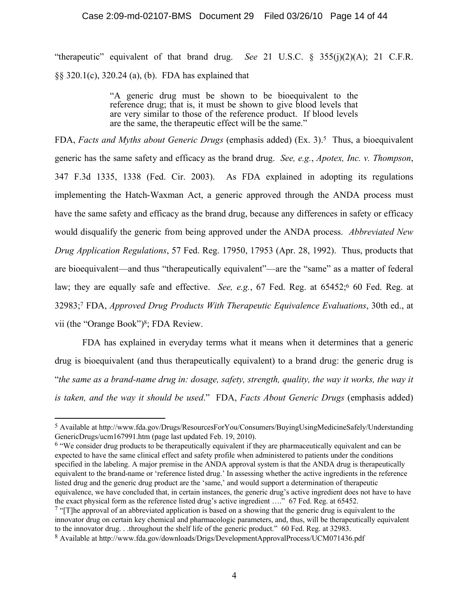"therapeutic" equivalent of that brand drug. *See* 21 U.S.C. § 355(j)(2)(A); 21 C.F.R. §§ 320.1(c), 320.24 (a), (b). FDA has explained that

> "A generic drug must be shown to be bioequivalent to the reference drug; that is, it must be shown to give blood levels that are very similar to those of the reference product. If blood levels are the same, the therapeutic effect will be the same."

FDA, *Facts and Myths about Generic Drugs* (emphasis added) (Ex. 3).<sup>5</sup> Thus, a bioequivalent generic has the same safety and efficacy as the brand drug. *See, e.g.*, *Apotex, Inc. v. Thompson*, 347 F.3d 1335, 1338 (Fed. Cir. 2003). As FDA explained in adopting its regulations implementing the Hatch-Waxman Act, a generic approved through the ANDA process must have the same safety and efficacy as the brand drug, because any differences in safety or efficacy would disqualify the generic from being approved under the ANDA process. *Abbreviated New Drug Application Regulations*, 57 Fed. Reg. 17950, 17953 (Apr. 28, 1992). Thus, products that are bioequivalent—and thus "therapeutically equivalent"—are the "same" as a matter of federal law; they are equally safe and effective. *See, e.g.*, 67 Fed. Reg. at 65452;<sup>6</sup> 60 Fed. Reg. at 32983; <sup>7</sup> FDA, *Approved Drug Products With Therapeutic Equivalence Evaluations*, 30th ed., at vii (the "Orange Book")<sup>8</sup> ; FDA Review.

FDA has explained in everyday terms what it means when it determines that a generic drug is bioequivalent (and thus therapeutically equivalent) to a brand drug: the generic drug is "*the same as a brand-name drug in: dosage, safety, strength, quality, the way it works, the way it is taken, and the way it should be used*." FDA, *Facts About Generic Drugs* (emphasis added)

<sup>5</sup> Available at [http://w](JUU\<iiYYY*WFG*TARi1HQTMi4SMAQHISM7AH9AQi5ANMQESHMi=Q]LNT0MLNT?SFLILNS2GWSP]i0NFSHMUGNFLNT)[ww.fda.gov/Drugs/ResourcesForYou/Consumers/BuyingUsingMedicineSafely/Understanding](YYY*WFG*TARi1HQTMi4SMAQHISM7AH9AQi5ANMQESHMi=Q]LNT0MLNT?SFLILNS2GWSP]i0NFSHMUGNFLNT) GenericDrugs/ucm167991.htm (page last updated Feb. 19, 2010).

<sup>&</sup>lt;sup>6</sup> "We consider drug products to be therapeutically equivalent if they are pharmaceutically equivalent and can be expected to have the same clinical effect and safety profile when administered to patients under the conditions specified in the labeling. A major premise in the ANDA approval system is that the ANDA drug is therapeutically equivalent to the brand-name or 'reference listed drug.' In assessing whether the active ingredients in the reference listed drug and the generic drug product are the 'same,' and would support a determination of therapeutic equivalence, we have concluded that, in certain instances, the generic drug's active ingredient does not have to have the exact physical form as the reference listed drug's active ingredient …." 67 Fed. Reg. at 65452.

 $\frac{7}{7}$  "[T]he approval of an abbreviated application is based on a showing that the generic drug is equivalent to the innovator drug on certain key chemical and pharmacologic parameters, and, thus, will be therapeutically equivalent to the innovator drug. . .throughout the shelf life of the generic product." 60 Fed. Reg. at 32983.

<sup>8</sup> Available at ht[tp://ww](JUU\<iiYYY*WFG*TARiFAYNPAGFMi1HLTMi1SRSPA\ESNU3\\HARGP8HAISMMi05?BC$))[w.fda.gov/downloads/Drigs/DevelopmentApprovalProcess/UCM071436.pdf](YYY*WFG*TARiFAYNPAGFMi1HLTMi1SRSPA\ESNU3\\HARGP8HAISMMi05?BC$))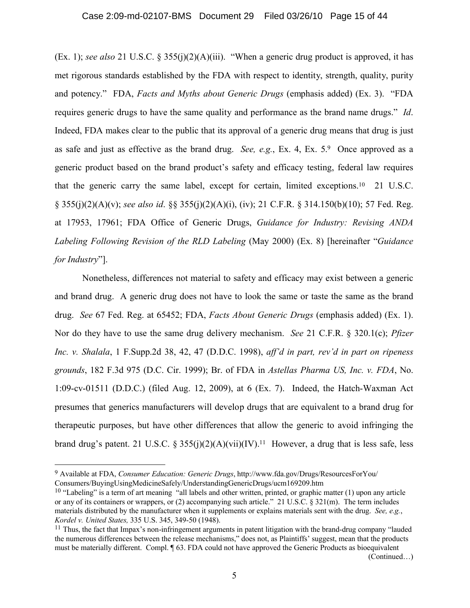(Ex. 1); *see also* 21 U.S.C. § 355(j)(2)(A)(iii). "When a generic drug product is approved, it has met rigorous standards established by the FDA with respect to identity, strength, quality, purity and potency." FDA, *Facts and Myths about Generic Drugs* (emphasis added) (Ex. 3). "FDA requires generic drugs to have the same quality and performance as the brand name drugs." *Id*. Indeed, FDA makes clear to the public that its approval of a generic drug means that drug is just as safe and just as effective as the brand drug. *See, e.g.*, Ex. 4, Ex. 5.<sup>9</sup> Once approved as a generic product based on the brand product's safety and efficacy testing, federal law requires that the generic carry the same label, except for certain, limited exceptions.<sup>10</sup> 21 U.S.C. § 355(j)(2)(A)(v); *see also id*. §§ 355(j)(2)(A)(i), (iv); 21 C.F.R. § 314.150(b)(10); 57 Fed. Reg. at 17953, 17961; FDA Office of Generic Drugs, *Guidance for Industry: Revising ANDA Labeling Following Revision of the RLD Labeling* (May 2000) (Ex. 8) [hereinafter "*Guidance for Industry*"].

Nonetheless, differences not material to safety and efficacy may exist between a generic and brand drug. A generic drug does not have to look the same or taste the same as the brand drug. *See* 67 Fed. Reg. at 65452; FDA, *Facts About Generic Drugs* (emphasis added) (Ex. 1). Nor do they have to use the same drug delivery mechanism. *See* 21 C.F.R. § 320.1(c); *Pfizer Inc. v. Shalala*, 1 F.Supp.2d 38, 42, 47 (D.D.C. 1998), *aff'd in part, rev'd in part on ripeness grounds*, 182 F.3d 975 (D.C. Cir. 1999); Br. of FDA in *Astellas Pharma US, Inc. v. FDA*, No. 1:09-cv-01511 (D.D.C.) (filed Aug. 12, 2009), at 6 (Ex. 7). Indeed, the Hatch-Waxman Act presumes that generics manufacturers will develop drugs that are equivalent to a brand drug for therapeutic purposes, but have other differences that allow the generic to avoid infringing the brand drug's patent. 21 U.S.C. § 355(j)(2)(A)(vii)(IV).<sup>11</sup> However, a drug that is less safe, less

(Continued…)

<sup>9</sup> Available at FDA, *Consumer Education: Generic Drugs*, [http://w](JUU\<iiYYY*WFG*TARi1HQTMi4SMAQHISM7AH9AQi)[ww.fda.gov/Drugs/ResourcesForYou/](YYY*WFG*TARi1HQTMi4SMAQHISM7AH9AQi) Consumers/BuyingUsingMedicineSafely/UnderstandingGenericDrugs/ucm169209.htm

 $10$  "Labeling" is a term of art meaning "all labels and other written, printed, or graphic matter (1) upon any article or any of its containers or wrappers, or (2) accompanying such article." 21 U.S.C. § 321(m). The term includes materials distributed by the manufacturer when it supplements or explains materials sent with the drug. *See, e.g.*, *Kordel v. United States,* 335 U.S. 345, 349-50 (1948).

 $11$  Thus, the fact that Impax's non-infringement arguments in patent litigation with the brand-drug company "lauded" the numerous differences between the release mechanisms," does not, as Plaintiffs' suggest, mean that the products must be materially different. Compl. ¶ 63. FDA could not have approved the Generic Products as bioequivalent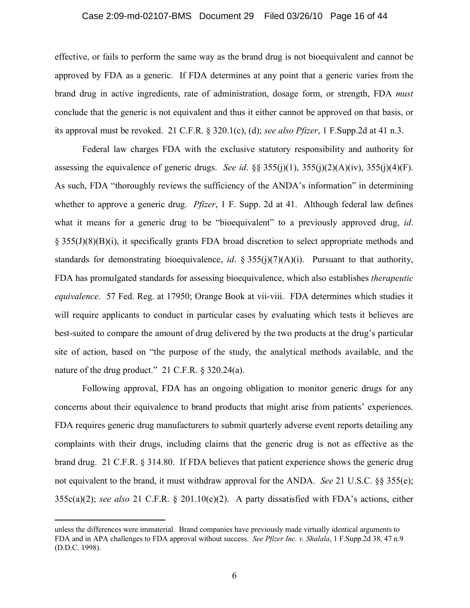#### Case 2:09-md-02107-BMS Document 29 Filed 03/26/10 Page 16 of 44

effective, or fails to perform the same way as the brand drug is not bioequivalent and cannot be approved by FDA as a generic. If FDA determines at any point that a generic varies from the brand drug in active ingredients, rate of administration, dosage form, or strength, FDA *must* conclude that the generic is not equivalent and thus it either cannot be approved on that basis, or its approval must be revoked. 21 C.F.R. § 320.1(c), (d); *see also Pfizer*, 1 F.Supp.2d at 41 n.3.

Federal law charges FDA with the exclusive statutory responsibility and authority for assessing the equivalence of generic drugs. *See id.* §§  $355(j)(1)$ ,  $355(j)(2)(A)(iv)$ ,  $355(j)(4)(F)$ . As such, FDA "thoroughly reviews the sufficiency of the ANDA's information" in determining whether to approve a generic drug. *Pfizer*, 1 F. Supp. 2d at 41. Although federal law defines what it means for a generic drug to be "bioequivalent" to a previously approved drug, *id*. § 355(J)(8)(B)(i), it specifically grants FDA broad discretion to select appropriate methods and standards for demonstrating bioequivalence, *id*. § 355(j)(7)(A)(i). Pursuant to that authority, FDA has promulgated standards for assessing bioequivalence, which also establishes *therapeutic equivalence*. 57 Fed. Reg. at 17950; Orange Book at vii-viii. FDA determines which studies it will require applicants to conduct in particular cases by evaluating which tests it believes are best-suited to compare the amount of drug delivered by the two products at the drug's particular site of action, based on "the purpose of the study, the analytical methods available, and the nature of the drug product." 21 C.F.R. § 320.24(a).

Following approval, FDA has an ongoing obligation to monitor generic drugs for any concerns about their equivalence to brand products that might arise from patients' experiences. FDA requires generic drug manufacturers to submit quarterly adverse event reports detailing any complaints with their drugs, including claims that the generic drug is not as effective as the brand drug. 21 C.F.R. § 314.80. If FDA believes that patient experience shows the generic drug not equivalent to the brand, it must withdraw approval for the ANDA. *See* 21 U.S.C. §§ 355(e); 355c(a)(2); *see also* 21 C.F.R. § 201.10(c)(2). A party dissatisfied with FDA's actions, either

unless the differences were immaterial. Brand companies have previously made virtually identical arguments to FDA and in APA challenges to FDA approval without success. *See Pfizer Inc. v. Shalala*, 1 F.Supp.2d 38, 47 n.9 (D.D.C. 1998).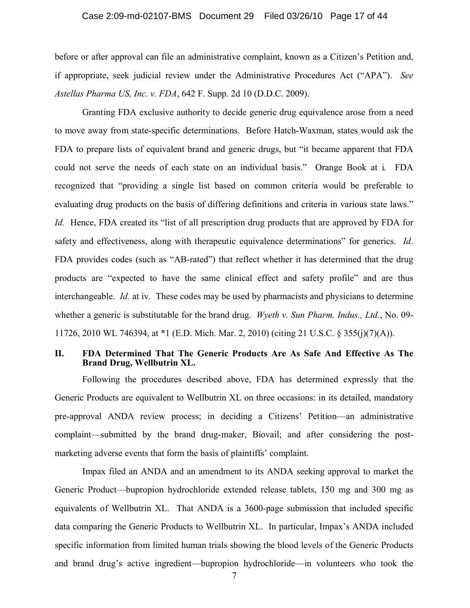## Case 2:09-md-02107-BMS Document 29 Filed 03/26/10 Page 17 of 44

before or after approval can file an administrative complaint, known as a Citizen's Petition and, if appropriate, seek judicial review under the Administrative Procedures Act ("APA"). *See Astellas Pharma US, Inc. v. FDA*, 642 F. Supp. 2d 10 (D.D.C. 2009).

Granting FDA exclusive authority to decide generic drug equivalence arose from a need to move away from state-specific determinations. Before Hatch-Waxman, states would ask the FDA to prepare lists of equivalent brand and generic drugs, but "it became apparent that FDA could not serve the needs of each state on an individual basis." Orange Book at i*.* FDA recognized that "providing a single list based on common criteria would be preferable to evaluating drug products on the basis of differing definitions and criteria in various state laws." *Id.* Hence, FDA created its "list of all prescription drug products that are approved by FDA for safety and effectiveness, along with therapeutic equivalence determinations" for generics. *Id*. FDA provides codes (such as "AB-rated") that reflect whether it has determined that the drug products are "expected to have the same clinical effect and safety profile" and are thus interchangeable. *Id.* at iv. These codes may be used by pharmacists and physicians to determine whether a generic is substitutable for the brand drug. *Wyeth v. Sun Pharm. Indus., Ltd.*, No. 09- 11726, 2010 WL 746394, at \*1 (E.D. Mich. Mar. 2, 2010) (citing 21 U.S.C. § 355(j)(7)(A)).

#### **II. FDA Determined That The Generic Products Are As Safe And Effective As The Brand Drug, Wellbutrin XL.**

Following the procedures described above, FDA has determined expressly that the Generic Products are equivalent to Wellbutrin XL on three occasions: in its detailed, mandatory pre-approval ANDA review process; in deciding a Citizens' Petition—an administrative complaint—submitted by the brand drug-maker, Biovail; and after considering the postmarketing adverse events that form the basis of plaintiffs' complaint.

Impax filed an ANDA and an amendment to its ANDA seeking approval to market the Generic Product—bupropion hydrochloride extended release tablets, 150 mg and 300 mg as equivalents of Wellbutrin XL. That ANDA is a 3600-page submission that included specific data comparing the Generic Products to Wellbutrin XL. In particular, Impax's ANDA included specific information from limited human trials showing the blood levels of the Generic Products and brand drug's active ingredient—bupropion hydrochloride—in volunteers who took the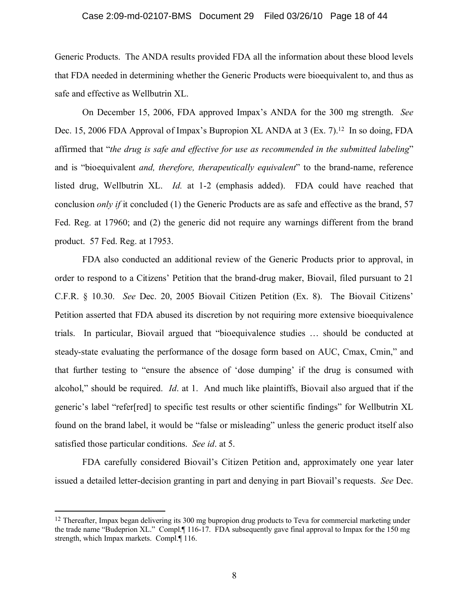#### Case 2:09-md-02107-BMS Document 29 Filed 03/26/10 Page 18 of 44

Generic Products. The ANDA results provided FDA all the information about these blood levels that FDA needed in determining whether the Generic Products were bioequivalent to, and thus as safe and effective as Wellbutrin XL.

On December 15, 2006, FDA approved Impax's ANDA for the 300 mg strength. *See* Dec. 15, 2006 FDA Approval of Impax's Bupropion XL ANDA at 3 (Ex. 7).<sup>12</sup> In so doing, FDA affirmed that "*the drug is safe and effective for use as recommended in the submitted labeling*" and is "bioequivalent *and, therefore, therapeutically equivalent*" to the brand-name, reference listed drug, Wellbutrin XL. *Id.* at 1-2 (emphasis added). FDA could have reached that conclusion *only if* it concluded (1) the Generic Products are as safe and effective as the brand, 57 Fed. Reg. at 17960; and (2) the generic did not require any warnings different from the brand product. 57 Fed. Reg. at 17953.

FDA also conducted an additional review of the Generic Products prior to approval, in order to respond to a Citizens' Petition that the brand-drug maker, Biovail, filed pursuant to 21 C.F.R. § 10.30. *See* Dec. 20, 2005 Biovail Citizen Petition (Ex. 8). The Biovail Citizens' Petition asserted that FDA abused its discretion by not requiring more extensive bioequivalence trials. In particular, Biovail argued that "bioequivalence studies … should be conducted at steady-state evaluating the performance of the dosage form based on AUC, Cmax, Cmin," and that further testing to "ensure the absence of 'dose dumping' if the drug is consumed with alcohol," should be required. *Id*. at 1. And much like plaintiffs, Biovail also argued that if the generic's label "refer[red] to specific test results or other scientific findings" for Wellbutrin XL found on the brand label, it would be "false or misleading" unless the generic product itself also satisfied those particular conditions. *See id*. at 5.

FDA carefully considered Biovail's Citizen Petition and, approximately one year later issued a detailed letter-decision granting in part and denying in part Biovail's requests. *See* Dec.

 $12$  Thereafter, Impax began delivering its 300 mg bupropion drug products to Teva for commercial marketing under the trade name "Budeprion XL." Compl.¶ 116-17. FDA subsequently gave final approval to Impax for the 150 mg strength, which Impax markets. Compl.¶ 116.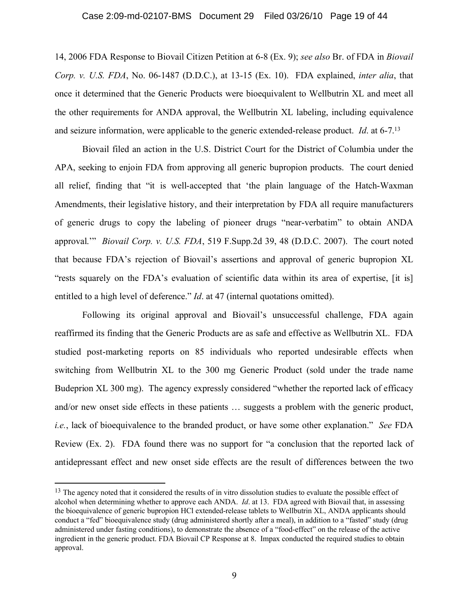14, 2006 FDA Response to Biovail Citizen Petition at 6-8 (Ex. 9); *see also* Br. of FDA in *Biovail Corp. v. U.S. FDA*, No. 06-1487 (D.D.C.), at 13-15 (Ex. 10). FDA explained, *inter alia*, that once it determined that the Generic Products were bioequivalent to Wellbutrin XL and meet all the other requirements for ANDA approval, the Wellbutrin XL labeling, including equivalence and seizure information, were applicable to the generic extended-release product. *Id*. at 6-7.<sup>13</sup>

Biovail filed an action in the U.S. District Court for the District of Columbia under the APA, seeking to enjoin FDA from approving all generic bupropion products. The court denied all relief, finding that "it is well-accepted that 'the plain language of the Hatch-Waxman Amendments, their legislative history, and their interpretation by FDA all require manufacturers of generic drugs to copy the labeling of pioneer drugs "near-verbatim" to obtain ANDA approval.'" *Biovail Corp. v. U.S. FDA*, 519 F.Supp.2d 39, 48 (D.D.C. 2007). The court noted that because FDA's rejection of Biovail's assertions and approval of generic bupropion XL "rests squarely on the FDA's evaluation of scientific data within its area of expertise, [it is] entitled to a high level of deference." *Id*. at 47 (internal quotations omitted).

Following its original approval and Biovail's unsuccessful challenge, FDA again reaffirmed its finding that the Generic Products are as safe and effective as Wellbutrin XL. FDA studied post-marketing reports on 85 individuals who reported undesirable effects when switching from Wellbutrin XL to the 300 mg Generic Product (sold under the trade name Budeprion XL 300 mg). The agency expressly considered "whether the reported lack of efficacy and/or new onset side effects in these patients … suggests a problem with the generic product, *i.e.*, lack of bioequivalence to the branded product, or have some other explanation." *See* FDA Review (Ex. 2). FDA found there was no support for "a conclusion that the reported lack of antidepressant effect and new onset side effects are the result of differences between the two

<sup>&</sup>lt;sup>13</sup> The agency noted that it considered the results of in vitro dissolution studies to evaluate the possible effect of alcohol when determining whether to approve each ANDA. *Id*. at 13. FDA agreed with Biovail that, in assessing the bioequivalence of generic bupropion HCl extended-release tablets to Wellbutrin XL, ANDA applicants should conduct a "fed" bioequivalence study (drug administered shortly after a meal), in addition to a "fasted" study (drug administered under fasting conditions), to demonstrate the absence of a "food-effect" on the release of the active ingredient in the generic product. FDA Biovail CP Response at 8. Impax conducted the required studies to obtain approval.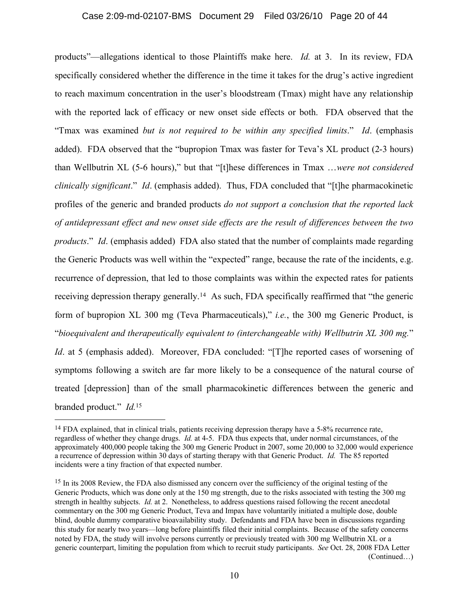#### Case 2:09-md-02107-BMS Document 29 Filed 03/26/10 Page 20 of 44

products"—allegations identical to those Plaintiffs make here. *Id.* at 3. In its review, FDA specifically considered whether the difference in the time it takes for the drug's active ingredient to reach maximum concentration in the user's bloodstream (Tmax) might have any relationship with the reported lack of efficacy or new onset side effects or both. FDA observed that the "Tmax was examined *but is not required to be within any specified limits*." *Id*. (emphasis added). FDA observed that the "bupropion Tmax was faster for Teva's XL product (2-3 hours) than Wellbutrin XL (5-6 hours)," but that "[t]hese differences in Tmax …*were not considered clinically significant*." *Id*. (emphasis added). Thus, FDA concluded that "[t]he pharmacokinetic profiles of the generic and branded products *do not support a conclusion that the reported lack of antidepressant effect and new onset side effects are the result of differences between the two products*." *Id*. (emphasis added) FDA also stated that the number of complaints made regarding the Generic Products was well within the "expected" range, because the rate of the incidents, e.g. recurrence of depression, that led to those complaints was within the expected rates for patients receiving depression therapy generally.<sup>14</sup> As such, FDA specifically reaffirmed that "the generic form of bupropion XL 300 mg (Teva Pharmaceuticals)," *i.e.*, the 300 mg Generic Product, is "*bioequivalent and therapeutically equivalent to (interchangeable with) Wellbutrin XL 300 mg.*" *Id.* at 5 (emphasis added). Moreover, FDA concluded: "[T]he reported cases of worsening of symptoms following a switch are far more likely to be a consequence of the natural course of treated [depression] than of the small pharmacokinetic differences between the generic and

branded product." *Id.*<sup>15</sup>

<sup>&</sup>lt;sup>14</sup> FDA explained, that in clinical trials, patients receiving depression therapy have a 5-8% recurrence rate, regardless of whether they change drugs. *Id.* at 4-5. FDA thus expects that, under normal circumstances, of the approximately 400,000 people taking the 300 mg Generic Product in 2007, some 20,000 to 32,000 would experience a recurrence of depression within 30 days of starting therapy with that Generic Product. *Id.* The 85 reported incidents were a tiny fraction of that expected number.

<sup>&</sup>lt;sup>15</sup> In its 2008 Review, the FDA also dismissed any concern over the sufficiency of the original testing of the Generic Products, which was done only at the 150 mg strength, due to the risks associated with testing the 300 mg strength in healthy subjects. *Id.* at 2. Nonetheless, to address questions raised following the recent anecdotal commentary on the 300 mg Generic Product, Teva and Impax have voluntarily initiated a multiple dose, double blind, double dummy comparative bioavailability study. Defendants and FDA have been in discussions regarding this study for nearly two years—long before plaintiffs filed their initial complaints. Because of the safety concerns noted by FDA, the study will involve persons currently or previously treated with 300 mg Wellbutrin XL or a generic counterpart, limiting the population from which to recruit study participants. *See* Oct. 28, 2008 FDA Letter (Continued…)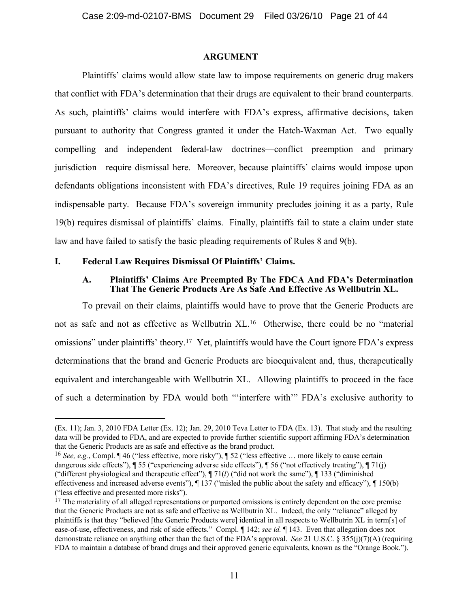#### **ARGUMENT**

Plaintiffs' claims would allow state law to impose requirements on generic drug makers that conflict with FDA's determination that their drugs are equivalent to their brand counterparts. As such, plaintiffs' claims would interfere with FDA's express, affirmative decisions, taken pursuant to authority that Congress granted it under the Hatch-Waxman Act. Two equally compelling and independent federal-law doctrines—conflict preemption and primary jurisdiction—require dismissal here. Moreover, because plaintiffs' claims would impose upon defendants obligations inconsistent with FDA's directives, Rule 19 requires joining FDA as an indispensable party. Because FDA's sovereign immunity precludes joining it as a party, Rule 19(b) requires dismissal of plaintiffs' claims. Finally, plaintiffs fail to state a claim under state law and have failed to satisfy the basic pleading requirements of Rules 8 and 9(b).

#### **I. Federal Law Requires Dismissal Of Plaintiffs' Claims.**

#### **A. Plaintiffs' Claims Are Preempted By The FDCA And FDA's Determination That The Generic Products Are As Safe And Effective As Wellbutrin XL.**

To prevail on their claims, plaintiffs would have to prove that the Generic Products are not as safe and not as effective as Wellbutrin XL.<sup>16</sup> Otherwise, there could be no "material omissions" under plaintiffs' theory.<sup>17</sup> Yet, plaintiffs would have the Court ignore FDA's express determinations that the brand and Generic Products are bioequivalent and, thus, therapeutically equivalent and interchangeable with Wellbutrin XL. Allowing plaintiffs to proceed in the face of such a determination by FDA would both "'interfere with'" FDA's exclusive authority to

<sup>(</sup>Ex. 11); Jan. 3, 2010 FDA Letter (Ex. 12); Jan. 29, 2010 Teva Letter to FDA (Ex. 13). That study and the resulting data will be provided to FDA, and are expected to provide further scientific support affirming FDA's determination that the Generic Products are as safe and effective as the brand product.

<sup>16</sup> *See, e.g.*, Compl. ¶ 46 ("less effective, more risky"), ¶ 52 ("less effective … more likely to cause certain dangerous side effects"), ¶ 55 ("experiencing adverse side effects"), ¶ 56 ("not effectively treating"), ¶ 71(j) ("different physiological and therapeutic effect"),  $\P$  71(*l*) ("did not work the same"),  $\P$  133 ("diminished effectiveness and increased adverse events"), ¶ 137 ("misled the public about the safety and efficacy"), ¶ 150(b) ("less effective and presented more risks").

 $17$  The materiality of all alleged representations or purported omissions is entirely dependent on the core premise that the Generic Products are not as safe and effective as Wellbutrin XL. Indeed, the only "reliance" alleged by plaintiffs is that they "believed [the Generic Products were] identical in all respects to Wellbutrin XL in term[s] of ease-of-use, effectiveness, and risk of side effects." Compl. ¶ 142; *see id.* ¶ 143. Even that allegation does not demonstrate reliance on anything other than the fact of the FDA's approval. *See* 21 U.S.C. § 355(j)(7)(A) (requiring FDA to maintain a database of brand drugs and their approved generic equivalents, known as the "Orange Book.").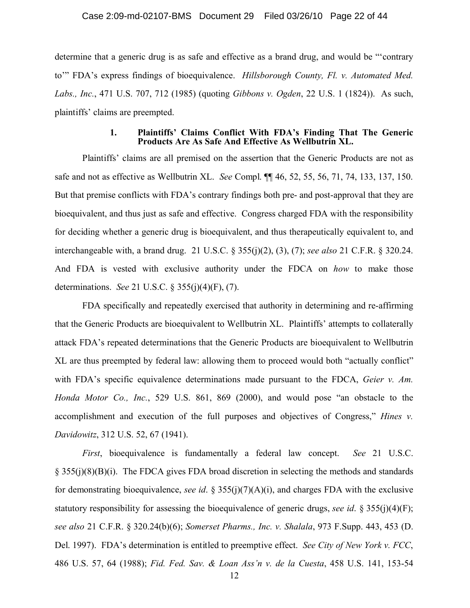#### Case 2:09-md-02107-BMS Document 29 Filed 03/26/10 Page 22 of 44

determine that a generic drug is as safe and effective as a brand drug, and would be "'contrary to'" FDA's express findings of bioequivalence. *Hillsborough County, Fl. v. Automated Med. Labs., Inc.*, 471 U.S. 707, 712 (1985) (quoting *Gibbons v. Ogden*, 22 U.S. 1 (1824)). As such, plaintiffs' claims are preempted.

#### **1. Plaintiffs' Claims Conflict With FDA's Finding That The Generic Products Are As Safe And Effective As Wellbutrin XL.**

Plaintiffs' claims are all premised on the assertion that the Generic Products are not as safe and not as effective as Wellbutrin XL. *See* Compl. ¶¶ 46, 52, 55, 56, 71, 74, 133, 137, 150. But that premise conflicts with FDA's contrary findings both pre- and post-approval that they are bioequivalent, and thus just as safe and effective. Congress charged FDA with the responsibility for deciding whether a generic drug is bioequivalent, and thus therapeutically equivalent to, and interchangeable with, a brand drug. 21 U.S.C. § 355(j)(2), (3), (7); *see also* 21 C.F.R. § 320.24. And FDA is vested with exclusive authority under the FDCA on *how* to make those determinations. *See* 21 U.S.C. § 355(j)(4)(F), (7).

FDA specifically and repeatedly exercised that authority in determining and re-affirming that the Generic Products are bioequivalent to Wellbutrin XL. Plaintiffs' attempts to collaterally attack FDA's repeated determinations that the Generic Products are bioequivalent to Wellbutrin XL are thus preempted by federal law: allowing them to proceed would both "actually conflict" with FDA's specific equivalence determinations made pursuant to the FDCA, *Geier v. Am. Honda Motor Co., Inc.*, 529 U.S. 861, 869 (2000), and would pose "an obstacle to the accomplishment and execution of the full purposes and objectives of Congress," *Hines v. Davidowitz*, 312 U.S. 52, 67 (1941).

*First*, bioequivalence is fundamentally a federal law concept. *See* 21 U.S.C. § 355(j)(8)(B)(i). The FDCA gives FDA broad discretion in selecting the methods and standards for demonstrating bioequivalence, *see id*. § 355(j)(7)(A)(i), and charges FDA with the exclusive statutory responsibility for assessing the bioequivalence of generic drugs, *see id*. § 355(j)(4)(F); *see also* 21 C.F.R. § 320.24(b)(6); *Somerset Pharms., Inc. v. Shalala*, 973 F.Supp. 443, 453 (D. Del. 1997). FDA's determination is entitled to preemptive effect. *See City of New York v. FCC*, 486 U.S. 57, 64 (1988); *Fid. Fed. Sav. & Loan Ass'n v. de la Cuesta*, 458 U.S. 141, 153-54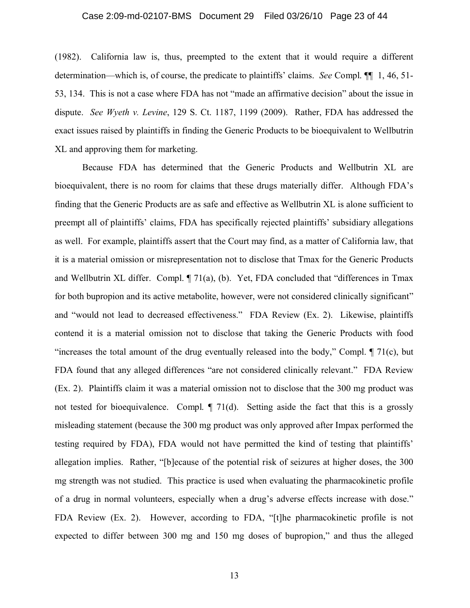#### Case 2:09-md-02107-BMS Document 29 Filed 03/26/10 Page 23 of 44

(1982). California law is, thus, preempted to the extent that it would require a different determination—which is, of course, the predicate to plaintiffs' claims. *See* Compl. ¶¶ 1, 46, 51- 53, 134. This is not a case where FDA has not "made an affirmative decision" about the issue in dispute. *See Wyeth v. Levine*, 129 S. Ct. 1187, 1199 (2009). Rather, FDA has addressed the exact issues raised by plaintiffs in finding the Generic Products to be bioequivalent to Wellbutrin XL and approving them for marketing.

Because FDA has determined that the Generic Products and Wellbutrin XL are bioequivalent, there is no room for claims that these drugs materially differ. Although FDA's finding that the Generic Products are as safe and effective as Wellbutrin XL is alone sufficient to preempt all of plaintiffs' claims, FDA has specifically rejected plaintiffs' subsidiary allegations as well. For example, plaintiffs assert that the Court may find, as a matter of California law, that it is a material omission or misrepresentation not to disclose that Tmax for the Generic Products and Wellbutrin XL differ. Compl. ¶ 71(a), (b). Yet, FDA concluded that "differences in Tmax for both bupropion and its active metabolite, however, were not considered clinically significant" and "would not lead to decreased effectiveness." FDA Review (Ex. 2). Likewise, plaintiffs contend it is a material omission not to disclose that taking the Generic Products with food "increases the total amount of the drug eventually released into the body," Compl.  $\P$  71(c), but FDA found that any alleged differences "are not considered clinically relevant." FDA Review (Ex. 2). Plaintiffs claim it was a material omission not to disclose that the 300 mg product was not tested for bioequivalence. Compl. *[]* 71(d). Setting aside the fact that this is a grossly misleading statement (because the 300 mg product was only approved after Impax performed the testing required by FDA), FDA would not have permitted the kind of testing that plaintiffs' allegation implies. Rather, "[b]ecause of the potential risk of seizures at higher doses, the 300 mg strength was not studied. This practice is used when evaluating the pharmacokinetic profile of a drug in normal volunteers, especially when a drug's adverse effects increase with dose." FDA Review (Ex. 2). However, according to FDA, "[t]he pharmacokinetic profile is not expected to differ between 300 mg and 150 mg doses of bupropion," and thus the alleged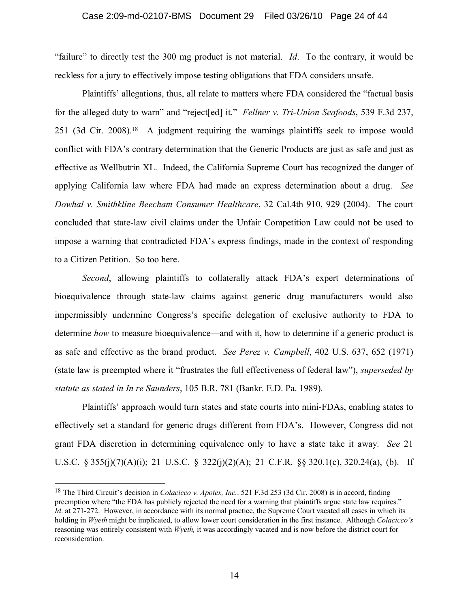#### Case 2:09-md-02107-BMS Document 29 Filed 03/26/10 Page 24 of 44

"failure" to directly test the 300 mg product is not material. *Id*. To the contrary, it would be reckless for a jury to effectively impose testing obligations that FDA considers unsafe.

Plaintiffs' allegations, thus, all relate to matters where FDA considered the "factual basis for the alleged duty to warn" and "reject[ed] it." *Fellner v. Tri-Union Seafoods*, 539 F.3d 237, 251 (3d Cir. 2008). <sup>18</sup> A judgment requiring the warnings plaintiffs seek to impose would conflict with FDA's contrary determination that the Generic Products are just as safe and just as effective as Wellbutrin XL. Indeed, the California Supreme Court has recognized the danger of applying California law where FDA had made an express determination about a drug. *See Dowhal v. Smithkline Beecham Consumer Healthcare*, 32 Cal.4th 910, 929 (2004). The court concluded that state-law civil claims under the Unfair Competition Law could not be used to impose a warning that contradicted FDA's express findings, made in the context of responding to a Citizen Petition. So too here.

*Second*, allowing plaintiffs to collaterally attack FDA's expert determinations of bioequivalence through state-law claims against generic drug manufacturers would also impermissibly undermine Congress's specific delegation of exclusive authority to FDA to determine *how* to measure bioequivalence—and with it, how to determine if a generic product is as safe and effective as the brand product. *See Perez v. Campbell*, 402 U.S. 637, 652 (1971) (state law is preempted where it "frustrates the full effectiveness of federal law"), *superseded by statute as stated in In re Saunders*, 105 B.R. 781 (Bankr. E.D. Pa. 1989).

Plaintiffs' approach would turn states and state courts into mini-FDAs, enabling states to effectively set a standard for generic drugs different from FDA's. However, Congress did not grant FDA discretion in determining equivalence only to have a state take it away. *See* 21 U.S.C. § 355(j)(7)(A)(i); 21 U.S.C. § 322(j)(2)(A); 21 C.F.R. §§ 320.1(c), 320.24(a), (b). If

<sup>18</sup> The Third Circuit's decision in *Colacicco v. Apotex, Inc.*. 521 F.3d 253 (3d Cir. 2008) is in accord, finding preemption where "the FDA has publicly rejected the need for a warning that plaintiffs argue state law requires." *Id*. at 271-272. However, in accordance with its normal practice, the Supreme Court vacated all cases in which its holding in *Wyeth* might be implicated, to allow lower court consideration in the first instance. Although *Colacicco's*  reasoning was entirely consistent with *Wyeth,* it was accordingly vacated and is now before the district court for reconsideration.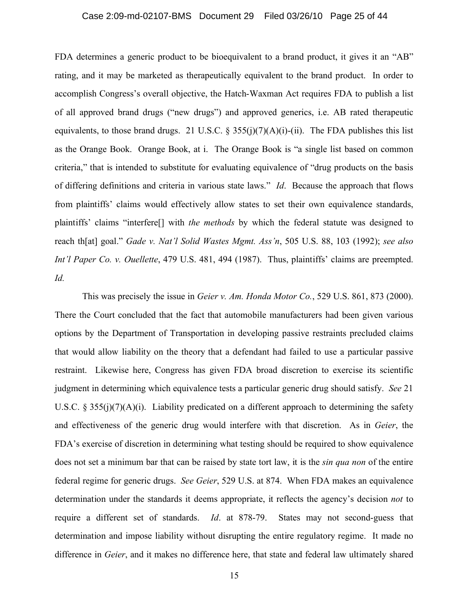## Case 2:09-md-02107-BMS Document 29 Filed 03/26/10 Page 25 of 44

FDA determines a generic product to be bioequivalent to a brand product, it gives it an "AB" rating, and it may be marketed as therapeutically equivalent to the brand product. In order to accomplish Congress's overall objective, the Hatch-Waxman Act requires FDA to publish a list of all approved brand drugs ("new drugs") and approved generics, i.e. AB rated therapeutic equivalents, to those brand drugs. 21 U.S.C. § 355(j)(7)(A)(i)-(ii). The FDA publishes this list as the Orange Book. Orange Book, at i. The Orange Book is "a single list based on common criteria," that is intended to substitute for evaluating equivalence of "drug products on the basis of differing definitions and criteria in various state laws." *Id*. Because the approach that flows from plaintiffs' claims would effectively allow states to set their own equivalence standards, plaintiffs' claims "interfere[] with *the methods* by which the federal statute was designed to reach th[at] goal." *Gade v. Nat'l Solid Wastes Mgmt. Ass'n*, 505 U.S. 88, 103 (1992); *see also Int'l Paper Co. v. Ouellette*, 479 U.S. 481, 494 (1987). Thus, plaintiffs' claims are preempted. *Id.*

This was precisely the issue in *Geier v. Am. Honda Motor Co.*, 529 U.S. 861, 873 (2000). There the Court concluded that the fact that automobile manufacturers had been given various options by the Department of Transportation in developing passive restraints precluded claims that would allow liability on the theory that a defendant had failed to use a particular passive restraint. Likewise here, Congress has given FDA broad discretion to exercise its scientific judgment in determining which equivalence tests a particular generic drug should satisfy. *See* 21 U.S.C.  $\S 355(i)(7)(A)(i)$ . Liability predicated on a different approach to determining the safety and effectiveness of the generic drug would interfere with that discretion. As in *Geier*, the FDA's exercise of discretion in determining what testing should be required to show equivalence does not set a minimum bar that can be raised by state tort law, it is the *sin qua non* of the entire federal regime for generic drugs. *See Geier*, 529 U.S. at 874. When FDA makes an equivalence determination under the standards it deems appropriate, it reflects the agency's decision *not* to require a different set of standards. *Id*. at 878-79. States may not second-guess that determination and impose liability without disrupting the entire regulatory regime. It made no difference in *Geier*, and it makes no difference here, that state and federal law ultimately shared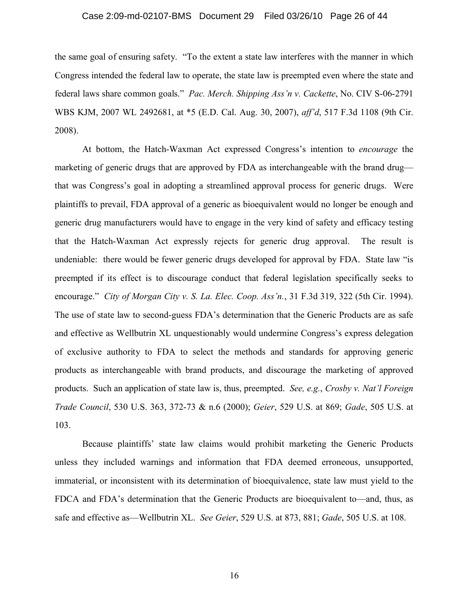#### Case 2:09-md-02107-BMS Document 29 Filed 03/26/10 Page 26 of 44

the same goal of ensuring safety. "To the extent a state law interferes with the manner in which Congress intended the federal law to operate, the state law is preempted even where the state and federal laws share common goals." *Pac. Merch. Shipping Ass'n v. Cackette*, No. CIV S-06-2791 WBS KJM, 2007 WL 2492681, at \*5 (E.D. Cal. Aug. 30, 2007), *aff'd*, 517 F.3d 1108 (9th Cir. 2008).

At bottom, the Hatch-Waxman Act expressed Congress's intention to *encourage* the marketing of generic drugs that are approved by FDA as interchangeable with the brand drug that was Congress's goal in adopting a streamlined approval process for generic drugs. Were plaintiffs to prevail, FDA approval of a generic as bioequivalent would no longer be enough and generic drug manufacturers would have to engage in the very kind of safety and efficacy testing that the Hatch-Waxman Act expressly rejects for generic drug approval. The result is undeniable: there would be fewer generic drugs developed for approval by FDA. State law "is preempted if its effect is to discourage conduct that federal legislation specifically seeks to encourage." *City of Morgan City v. S. La. Elec. Coop. Ass'n.*, 31 F.3d 319, 322 (5th Cir. 1994). The use of state law to second-guess FDA's determination that the Generic Products are as safe and effective as Wellbutrin XL unquestionably would undermine Congress's express delegation of exclusive authority to FDA to select the methods and standards for approving generic products as interchangeable with brand products, and discourage the marketing of approved products. Such an application of state law is, thus, preempted. *See, e.g.*, *Crosby v. Nat'l Foreign Trade Council*, 530 U.S. 363, 372-73 & n.6 (2000); *Geier*, 529 U.S. at 869; *Gade*, 505 U.S. at 103.

Because plaintiffs' state law claims would prohibit marketing the Generic Products unless they included warnings and information that FDA deemed erroneous, unsupported, immaterial, or inconsistent with its determination of bioequivalence, state law must yield to the FDCA and FDA's determination that the Generic Products are bioequivalent to—and, thus, as safe and effective as—Wellbutrin XL. *See Geier*, 529 U.S. at 873, 881; *Gade*, 505 U.S. at 108.

16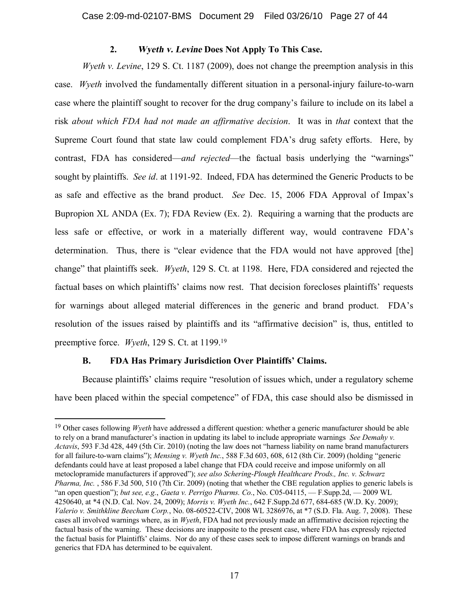### **2. Wyeth v. Levine Does Not Apply To This Case.**

*Wyeth v. Levine*, 129 S. Ct. 1187 (2009), does not change the preemption analysis in this case. *Wyeth* involved the fundamentally different situation in a personal-injury failure-to-warn case where the plaintiff sought to recover for the drug company's failure to include on its label a risk *about which FDA had not made an affirmative decision*. It was in *that* context that the Supreme Court found that state law could complement FDA's drug safety efforts. Here, by contrast, FDA has considered—*and rejected*—the factual basis underlying the "warnings" sought by plaintiffs. *See id*. at 1191-92. Indeed, FDA has determined the Generic Products to be as safe and effective as the brand product. *See* Dec. 15, 2006 FDA Approval of Impax's Bupropion XL ANDA (Ex. 7); FDA Review (Ex. 2). Requiring a warning that the products are less safe or effective, or work in a materially different way, would contravene FDA's determination. Thus, there is "clear evidence that the FDA would not have approved [the] change" that plaintiffs seek. *Wyeth*, 129 S. Ct. at 1198. Here, FDA considered and rejected the factual bases on which plaintiffs' claims now rest. That decision forecloses plaintiffs' requests for warnings about alleged material differences in the generic and brand product. FDA's resolution of the issues raised by plaintiffs and its "affirmative decision" is, thus, entitled to preemptive force. *Wyeth*, 129 S. Ct. at 1199.<sup>19</sup>

### **B. FDA Has Primary Jurisdiction Over Plaintiffs' Claims.**

Because plaintiffs' claims require "resolution of issues which, under a regulatory scheme have been placed within the special competence" of FDA, this case should also be dismissed in

<sup>&</sup>lt;sup>19</sup> Other cases following *Wyeth* have addressed a different question: whether a generic manufacturer should be able to rely on a brand manufacturer's inaction in updating its label to include appropriate warnings *See Demahy v. Actavis*, 593 F.3d 428, 449 (5th Cir. 2010) (noting the law does not "harness liability on name brand manufacturers for all failure-to-warn claims"); *Mensing v. Wyeth Inc.*, 588 F.3d 603, 608, 612 (8th Cir. 2009) (holding "generic defendants could have at least proposed a label change that FDA could receive and impose uniformly on all metoclopramide manufacturers if approved"); *see also Schering-Plough Healthcare Prods., Inc. v. Schwarz Pharma, Inc.* , 586 F.3d 500, 510 (7th Cir. 2009) (noting that whether the CBE regulation applies to generic labels is "an open question"); *but see, e.g.*, *Gaeta v. Perrigo Pharms. Co.*, No. C05-04115, — F.Supp.2d, — 2009 WL 4250640, at \*4 (N.D. Cal. Nov. 24, 2009); *Morris v. Wyeth Inc.*, 642 F.Supp.2d 677, 684-685 (W.D. Ky. 2009); *Valerio v. Smithkline Beecham Corp.*, No. 08-60522-CIV, 2008 WL 3286976, at \*7 (S.D. Fla. Aug. 7, 2008). These cases all involved warnings where, as in *Wyeth*, FDA had not previously made an affirmative decision rejecting the factual basis of the warning. These decisions are inapposite to the present case, where FDA has expressly rejected the factual basis for Plaintiffs' claims. Nor do any of these cases seek to impose different warnings on brands and generics that FDA has determined to be equivalent.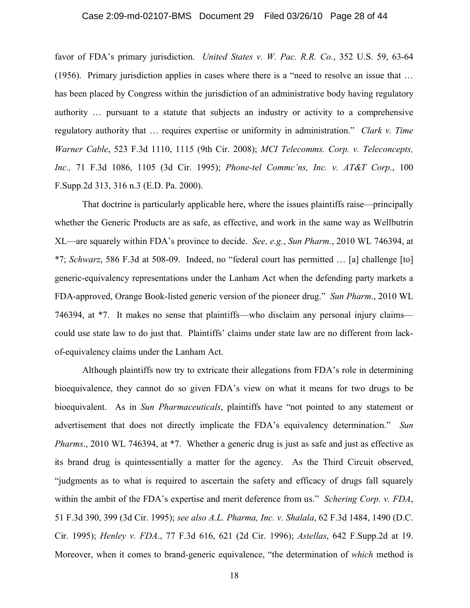#### Case 2:09-md-02107-BMS Document 29 Filed 03/26/10 Page 28 of 44

favor of FDA's primary jurisdiction. *United States v. W. Pac. R.R. Co.*, 352 U.S. 59, 63-64 (1956). Primary jurisdiction applies in cases where there is a "need to resolve an issue that … has been placed by Congress within the jurisdiction of an administrative body having regulatory authority … pursuant to a statute that subjects an industry or activity to a comprehensive regulatory authority that … requires expertise or uniformity in administration." *Clark v. Time Warner Cable*, 523 F.3d 1110, 1115 (9th Cir. 2008); *MCI Telecomms. Corp. v. Teleconcepts, Inc.,* 71 F.3d 1086, 1105 (3d Cir. 1995); *Phone-tel Commc'ns, Inc. v. AT&T Corp.*, 100 F.Supp.2d 313, 316 n.3 (E.D. Pa. 2000).

That doctrine is particularly applicable here, where the issues plaintiffs raise—principally whether the Generic Products are as safe, as effective, and work in the same way as Wellbutrin XL—are squarely within FDA's province to decide. *See, e.g.*, *Sun Pharm.*, 2010 WL 746394, at \*7; *Schwarz*, 586 F.3d at 508-09. Indeed, no "federal court has permitted … [a] challenge [to] generic-equivalency representations under the Lanham Act when the defending party markets a FDA-approved, Orange Book-listed generic version of the pioneer drug." *Sun Pharm*., 2010 WL 746394, at \*7. It makes no sense that plaintiffs—who disclaim any personal injury claims could use state law to do just that. Plaintiffs' claims under state law are no different from lackof-equivalency claims under the Lanham Act.

Although plaintiffs now try to extricate their allegations from FDA's role in determining bioequivalence, they cannot do so given FDA's view on what it means for two drugs to be bioequivalent. As in *Sun Pharmaceuticals*, plaintiffs have "not pointed to any statement or advertisement that does not directly implicate the FDA's equivalency determination." *Sun Pharms*., 2010 WL 746394, at \*7. Whether a generic drug is just as safe and just as effective as its brand drug is quintessentially a matter for the agency. As the Third Circuit observed, "judgments as to what is required to ascertain the safety and efficacy of drugs fall squarely within the ambit of the FDA's expertise and merit deference from us." *Schering Corp. v. FDA*, 51 F.3d 390, 399 (3d Cir. 1995); *see also A.L. Pharma, Inc. v. Shalala*, 62 F.3d 1484, 1490 (D.C. Cir. 1995); *Henley v. FDA*., 77 F.3d 616, 621 (2d Cir. 1996); *Astellas*, 642 F.Supp.2d at 19. Moreover, when it comes to brand-generic equivalence, "the determination of *which* method is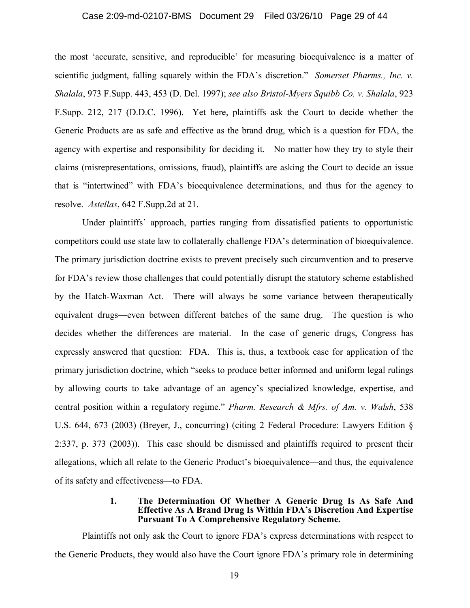#### Case 2:09-md-02107-BMS Document 29 Filed 03/26/10 Page 29 of 44

the most 'accurate, sensitive, and reproducible' for measuring bioequivalence is a matter of scientific judgment, falling squarely within the FDA's discretion." *Somerset Pharms., Inc. v. Shalala*, 973 F.Supp. 443, 453 (D. Del. 1997); *see also Bristol-Myers Squibb Co. v. Shalala*, 923 F.Supp. 212, 217 (D.D.C. 1996). Yet here, plaintiffs ask the Court to decide whether the Generic Products are as safe and effective as the brand drug, which is a question for FDA, the agency with expertise and responsibility for deciding it. No matter how they try to style their claims (misrepresentations, omissions, fraud), plaintiffs are asking the Court to decide an issue that is "intertwined" with FDA's bioequivalence determinations, and thus for the agency to resolve. *Astellas*, 642 F.Supp.2d at 21.

Under plaintiffs' approach, parties ranging from dissatisfied patients to opportunistic competitors could use state law to collaterally challenge FDA's determination of bioequivalence. The primary jurisdiction doctrine exists to prevent precisely such circumvention and to preserve for FDA's review those challenges that could potentially disrupt the statutory scheme established by the Hatch-Waxman Act. There will always be some variance between therapeutically equivalent drugs—even between different batches of the same drug. The question is who decides whether the differences are material. In the case of generic drugs, Congress has expressly answered that question: FDA. This is, thus, a textbook case for application of the primary jurisdiction doctrine, which "seeks to produce better informed and uniform legal rulings by allowing courts to take advantage of an agency's specialized knowledge, expertise, and central position within a regulatory regime." *Pharm. Research & Mfrs. of Am. v. Walsh*, 538 U.S. 644, 673 (2003) (Breyer, J., concurring) (citing 2 Federal Procedure: Lawyers Edition § 2:337, p. 373 (2003)). This case should be dismissed and plaintiffs required to present their allegations, which all relate to the Generic Product's bioequivalence—and thus, the equivalence of its safety and effectiveness—to FDA.

#### **1. The Determination Of Whether A Generic Drug Is As Safe And Effective As A Brand Drug Is Within FDA's Discretion And Expertise Pursuant To A Comprehensive Regulatory Scheme.**

Plaintiffs not only ask the Court to ignore FDA's express determinations with respect to the Generic Products, they would also have the Court ignore FDA's primary role in determining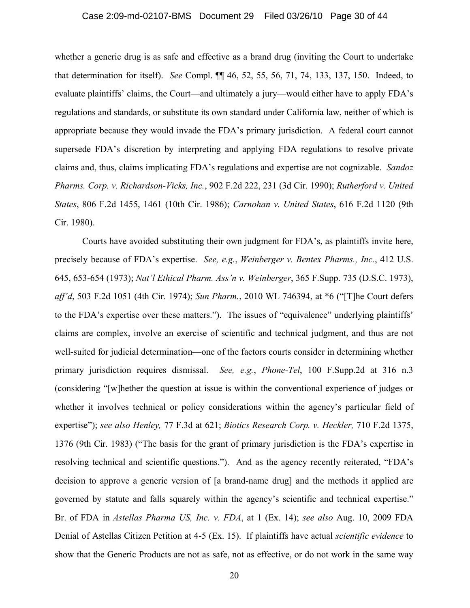whether a generic drug is as safe and effective as a brand drug (inviting the Court to undertake that determination for itself). *See* Compl. ¶¶ 46, 52, 55, 56, 71, 74, 133, 137, 150. Indeed, to evaluate plaintiffs' claims, the Court—and ultimately a jury—would either have to apply FDA's regulations and standards, or substitute its own standard under California law, neither of which is appropriate because they would invade the FDA's primary jurisdiction. A federal court cannot supersede FDA's discretion by interpreting and applying FDA regulations to resolve private claims and, thus, claims implicating FDA's regulations and expertise are not cognizable. *Sandoz Pharms. Corp. v. Richardson-Vicks, Inc.*, 902 F.2d 222, 231 (3d Cir. 1990); *Rutherford v. United States*, 806 F.2d 1455, 1461 (10th Cir. 1986); *Carnohan v. United States*, 616 F.2d 1120 (9th Cir. 1980).

Courts have avoided substituting their own judgment for FDA's, as plaintiffs invite here, precisely because of FDA's expertise. *See, e.g.*, *Weinberger v. Bentex Pharms., Inc.*, 412 U.S. 645, 653-654 (1973); *Nat'l Ethical Pharm. Ass'n v. Weinberger*, 365 F.Supp. 735 (D.S.C. 1973), *aff'd*, 503 F.2d 1051 (4th Cir. 1974); *Sun Pharm.*, 2010 WL 746394, at \*6 ("[T]he Court defers to the FDA's expertise over these matters."). The issues of "equivalence" underlying plaintiffs' claims are complex, involve an exercise of scientific and technical judgment, and thus are not well-suited for judicial determination—one of the factors courts consider in determining whether primary jurisdiction requires dismissal. *See, e.g.*, *Phone-Tel*, 100 F.Supp.2d at 316 n.3 (considering "[w]hether the question at issue is within the conventional experience of judges or whether it involves technical or policy considerations within the agency's particular field of expertise"); *see also Henley,* 77 F.3d at 621; *Biotics Research Corp. v. Heckler,* 710 F.2d 1375, 1376 (9th Cir. 1983) ("The basis for the grant of primary jurisdiction is the FDA's expertise in resolving technical and scientific questions."). And as the agency recently reiterated, "FDA's decision to approve a generic version of [a brand-name drug] and the methods it applied are governed by statute and falls squarely within the agency's scientific and technical expertise." Br. of FDA in *Astellas Pharma US, Inc. v. FDA*, at 1 (Ex. 14); *see also* Aug. 10, 2009 FDA Denial of Astellas Citizen Petition at 4-5 (Ex. 15). If plaintiffs have actual *scientific evidence* to show that the Generic Products are not as safe, not as effective, or do not work in the same way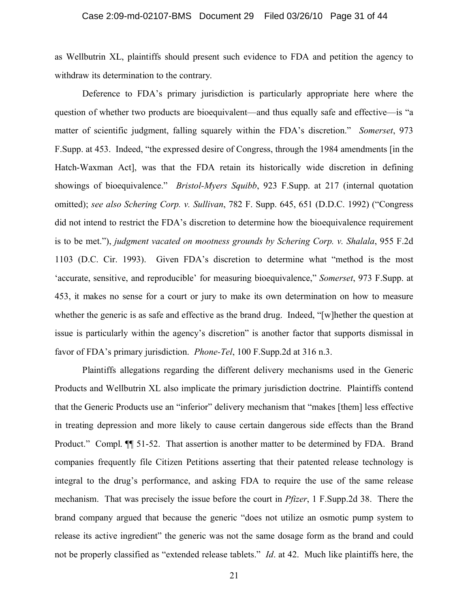as Wellbutrin XL, plaintiffs should present such evidence to FDA and petition the agency to withdraw its determination to the contrary.

Deference to FDA's primary jurisdiction is particularly appropriate here where the question of whether two products are bioequivalent—and thus equally safe and effective—is "a matter of scientific judgment, falling squarely within the FDA's discretion." *Somerset*, 973 F.Supp. at 453. Indeed, "the expressed desire of Congress, through the 1984 amendments [in the Hatch-Waxman Act], was that the FDA retain its historically wide discretion in defining showings of bioequivalence." *Bristol-Myers Squibb*, 923 F.Supp. at 217 (internal quotation omitted); *see also Schering Corp. v. Sullivan*, 782 F. Supp. 645, 651 (D.D.C. 1992) ("Congress did not intend to restrict the FDA's discretion to determine how the bioequivalence requirement is to be met."), *judgment vacated on mootness grounds by Schering Corp. v. Shalala*, 955 F.2d 1103 (D.C. Cir. 1993). Given FDA's discretion to determine what "method is the most 'accurate, sensitive, and reproducible' for measuring bioequivalence," *Somerset*, 973 F.Supp. at 453, it makes no sense for a court or jury to make its own determination on how to measure whether the generic is as safe and effective as the brand drug. Indeed, "[w]hether the question at issue is particularly within the agency's discretion" is another factor that supports dismissal in favor of FDA's primary jurisdiction. *Phone-Tel*, 100 F.Supp.2d at 316 n.3.

Plaintiffs allegations regarding the different delivery mechanisms used in the Generic Products and Wellbutrin XL also implicate the primary jurisdiction doctrine. Plaintiffs contend that the Generic Products use an "inferior" delivery mechanism that "makes [them] less effective in treating depression and more likely to cause certain dangerous side effects than the Brand Product." Compl. ¶¶ 51-52. That assertion is another matter to be determined by FDA. Brand companies frequently file Citizen Petitions asserting that their patented release technology is integral to the drug's performance, and asking FDA to require the use of the same release mechanism. That was precisely the issue before the court in *Pfizer*, 1 F.Supp.2d 38. There the brand company argued that because the generic "does not utilize an osmotic pump system to release its active ingredient" the generic was not the same dosage form as the brand and could not be properly classified as "extended release tablets." *Id*. at 42. Much like plaintiffs here, the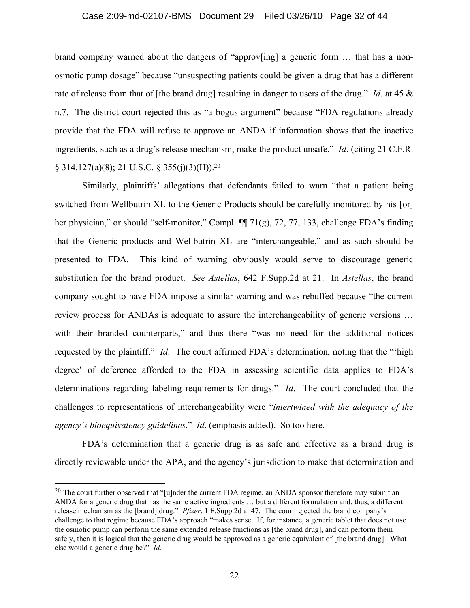#### Case 2:09-md-02107-BMS Document 29 Filed 03/26/10 Page 32 of 44

brand company warned about the dangers of "approv[ing] a generic form … that has a nonosmotic pump dosage" because "unsuspecting patients could be given a drug that has a different rate of release from that of [the brand drug] resulting in danger to users of the drug." *Id*. at 45 & n.7. The district court rejected this as "a bogus argument" because "FDA regulations already provide that the FDA will refuse to approve an ANDA if information shows that the inactive ingredients, such as a drug's release mechanism, make the product unsafe." *Id*. (citing 21 C.F.R. § 314.127(a)(8); 21 U.S.C. § 355(j)(3)(H)).<sup>20</sup>

Similarly, plaintiffs' allegations that defendants failed to warn "that a patient being switched from Wellbutrin XL to the Generic Products should be carefully monitored by his [or] her physician," or should "self-monitor," Compl. ¶ 71(g), 72, 77, 133, challenge FDA's finding that the Generic products and Wellbutrin XL are "interchangeable," and as such should be presented to FDA. This kind of warning obviously would serve to discourage generic substitution for the brand product. *See Astellas*, 642 F.Supp.2d at 21. In *Astellas*, the brand company sought to have FDA impose a similar warning and was rebuffed because "the current review process for ANDAs is adequate to assure the interchangeability of generic versions … with their branded counterparts," and thus there "was no need for the additional notices requested by the plaintiff." *Id*. The court affirmed FDA's determination, noting that the "'high degree' of deference afforded to the FDA in assessing scientific data applies to FDA's determinations regarding labeling requirements for drugs." *Id*. The court concluded that the challenges to representations of interchangeability were "*intertwined with the adequacy of the agency's bioequivalency guidelines*." *Id*. (emphasis added). So too here.

FDA's determination that a generic drug is as safe and effective as a brand drug is directly reviewable under the APA, and the agency's jurisdiction to make that determination and

<sup>&</sup>lt;sup>20</sup> The court further observed that "[u]nder the current FDA regime, an ANDA sponsor therefore may submit an ANDA for a generic drug that has the same active ingredients … but a different formulation and, thus, a different release mechanism as the [brand] drug." *Pfizer*, 1 F.Supp.2d at 47. The court rejected the brand company's challenge to that regime because FDA's approach "makes sense. If, for instance, a generic tablet that does not use the osmotic pump can perform the same extended release functions as [the brand drug], and can perform them safely, then it is logical that the generic drug would be approved as a generic equivalent of [the brand drug]. What else would a generic drug be?" *Id*.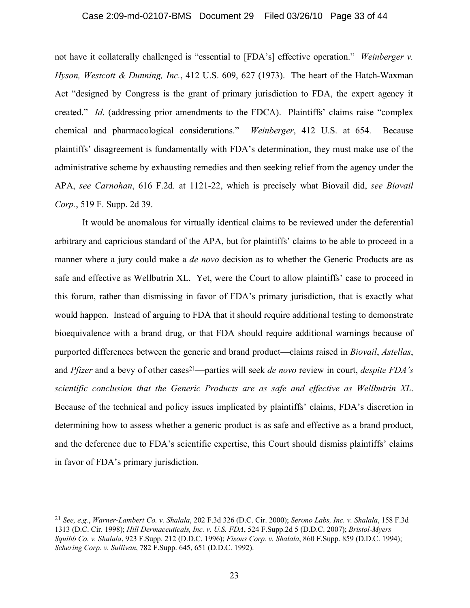#### Case 2:09-md-02107-BMS Document 29 Filed 03/26/10 Page 33 of 44

not have it collaterally challenged is "essential to [FDA's] effective operation." *Weinberger v. Hyson, Westcott & Dunning, Inc.*, 412 U.S. 609, 627 (1973). The heart of the Hatch-Waxman Act "designed by Congress is the grant of primary jurisdiction to FDA, the expert agency it created." *Id*. (addressing prior amendments to the FDCA). Plaintiffs' claims raise "complex chemical and pharmacological considerations." *Weinberger*, 412 U.S. at 654. Because plaintiffs' disagreement is fundamentally with FDA's determination, they must make use of the administrative scheme by exhausting remedies and then seeking relief from the agency under the APA, *see Carnohan*, 616 F.2d*.* at 1121-22, which is precisely what Biovail did, *see Biovail Corp.*, 519 F. Supp. 2d 39.

It would be anomalous for virtually identical claims to be reviewed under the deferential arbitrary and capricious standard of the APA, but for plaintiffs' claims to be able to proceed in a manner where a jury could make a *de novo* decision as to whether the Generic Products are as safe and effective as Wellbutrin XL. Yet, were the Court to allow plaintiffs' case to proceed in this forum, rather than dismissing in favor of FDA's primary jurisdiction, that is exactly what would happen. Instead of arguing to FDA that it should require additional testing to demonstrate bioequivalence with a brand drug, or that FDA should require additional warnings because of purported differences between the generic and brand product—claims raised in *Biovail*, *Astellas*, and *Pfizer* and a bevy of other cases<sup>21</sup>—parties will seek *de novo* review in court, *despite FDA's scientific conclusion that the Generic Products are as safe and effective as Wellbutrin XL*. Because of the technical and policy issues implicated by plaintiffs' claims, FDA's discretion in determining how to assess whether a generic product is as safe and effective as a brand product, and the deference due to FDA's scientific expertise, this Court should dismiss plaintiffs' claims in favor of FDA's primary jurisdiction.

<sup>21</sup> *See, e.g.*, *Warner-Lambert Co. v. Shalala*, 202 F.3d 326 (D.C. Cir. 2000); *Serono Labs, Inc. v. Shalala*, 158 F.3d 1313 (D.C. Cir. 1998); *Hill Dermaceuticals, Inc. v. U.S. FDA*, 524 F.Supp.2d 5 (D.D.C. 2007); *Bristol-Myers Squibb Co. v. Shalala*, 923 F.Supp. 212 (D.D.C. 1996); *Fisons Corp. v. Shalala*, 860 F.Supp. 859 (D.D.C. 1994); *Schering Corp. v. Sullivan*, 782 F.Supp. 645, 651 (D.D.C. 1992).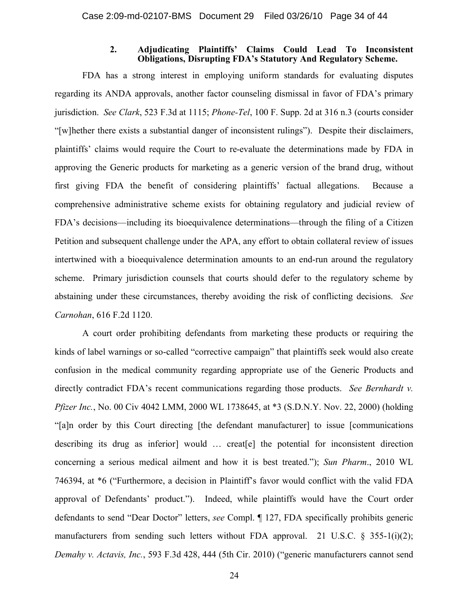#### **2. Adjudicating Plaintiffs' Claims Could Lead To Inconsistent Obligations, Disrupting FDA's Statutory And Regulatory Scheme.**

FDA has a strong interest in employing uniform standards for evaluating disputes regarding its ANDA approvals, another factor counseling dismissal in favor of FDA's primary jurisdiction. *See Clark*, 523 F.3d at 1115; *Phone-Tel*, 100 F. Supp. 2d at 316 n.3 (courts consider "[w]hether there exists a substantial danger of inconsistent rulings"). Despite their disclaimers, plaintiffs' claims would require the Court to re-evaluate the determinations made by FDA in approving the Generic products for marketing as a generic version of the brand drug, without first giving FDA the benefit of considering plaintiffs' factual allegations. Because a comprehensive administrative scheme exists for obtaining regulatory and judicial review of FDA's decisions—including its bioequivalence determinations—through the filing of a Citizen Petition and subsequent challenge under the APA, any effort to obtain collateral review of issues intertwined with a bioequivalence determination amounts to an end-run around the regulatory scheme. Primary jurisdiction counsels that courts should defer to the regulatory scheme by abstaining under these circumstances, thereby avoiding the risk of conflicting decisions. *See Carnohan*, 616 F.2d 1120.

A court order prohibiting defendants from marketing these products or requiring the kinds of label warnings or so-called "corrective campaign" that plaintiffs seek would also create confusion in the medical community regarding appropriate use of the Generic Products and directly contradict FDA's recent communications regarding those products. *See Bernhardt v. Pfizer Inc.*, No. 00 Civ 4042 LMM, 2000 WL 1738645, at \*3 (S.D.N.Y. Nov. 22, 2000) (holding "[a]n order by this Court directing [the defendant manufacturer] to issue [communications describing its drug as inferior] would … creat[e] the potential for inconsistent direction concerning a serious medical ailment and how it is best treated."); *Sun Pharm*., 2010 WL 746394, at \*6 ("Furthermore, a decision in Plaintiff's favor would conflict with the valid FDA approval of Defendants' product."). Indeed, while plaintiffs would have the Court order defendants to send "Dear Doctor" letters, *see* Compl. ¶ 127, FDA specifically prohibits generic manufacturers from sending such letters without FDA approval. 21 U.S.C. § 355-1(i)(2); *Demahy v. Actavis, Inc.*, 593 F.3d 428, 444 (5th Cir. 2010) ("generic manufacturers cannot send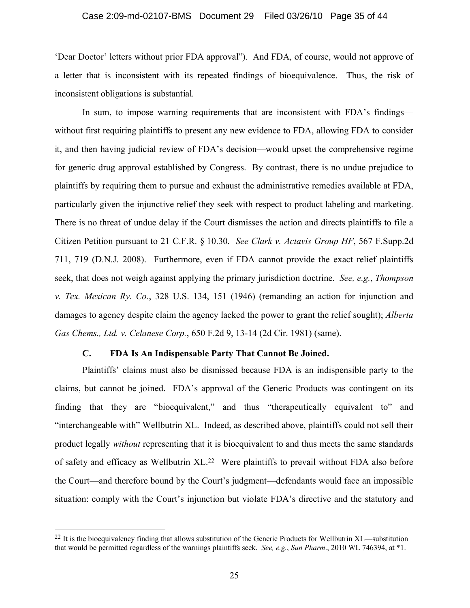#### Case 2:09-md-02107-BMS Document 29 Filed 03/26/10 Page 35 of 44

'Dear Doctor' letters without prior FDA approval"). And FDA, of course, would not approve of a letter that is inconsistent with its repeated findings of bioequivalence. Thus, the risk of inconsistent obligations is substantial.

In sum, to impose warning requirements that are inconsistent with FDA's findings without first requiring plaintiffs to present any new evidence to FDA, allowing FDA to consider it, and then having judicial review of FDA's decision—would upset the comprehensive regime for generic drug approval established by Congress. By contrast, there is no undue prejudice to plaintiffs by requiring them to pursue and exhaust the administrative remedies available at FDA, particularly given the injunctive relief they seek with respect to product labeling and marketing. There is no threat of undue delay if the Court dismisses the action and directs plaintiffs to file a Citizen Petition pursuant to 21 C.F.R. § 10.30. *See Clark v. Actavis Group HF*, 567 F.Supp.2d 711, 719 (D.N.J. 2008). Furthermore, even if FDA cannot provide the exact relief plaintiffs seek, that does not weigh against applying the primary jurisdiction doctrine. *See, e.g.*, *Thompson v. Tex. Mexican Ry. Co.*, 328 U.S. 134, 151 (1946) (remanding an action for injunction and damages to agency despite claim the agency lacked the power to grant the relief sought); *Alberta Gas Chems., Ltd. v. Celanese Corp.*, 650 F.2d 9, 13-14 (2d Cir. 1981) (same).

#### **C. FDA Is An Indispensable Party That Cannot Be Joined.**

Plaintiffs' claims must also be dismissed because FDA is an indispensible party to the claims, but cannot be joined. FDA's approval of the Generic Products was contingent on its finding that they are "bioequivalent," and thus "therapeutically equivalent to" and "interchangeable with" Wellbutrin XL. Indeed, as described above, plaintiffs could not sell their product legally *without* representing that it is bioequivalent to and thus meets the same standards of safety and efficacy as Wellbutrin XL.<sup>22</sup> Were plaintiffs to prevail without FDA also before the Court—and therefore bound by the Court's judgment—defendants would face an impossible situation: comply with the Court's injunction but violate FDA's directive and the statutory and

 $^{22}$  It is the bioequivalency finding that allows substitution of the Generic Products for Wellbutrin XL—substitution that would be permitted regardless of the warnings plaintiffs seek. *See, e.g.*, *Sun Pharm*., 2010 WL 746394, at \*1.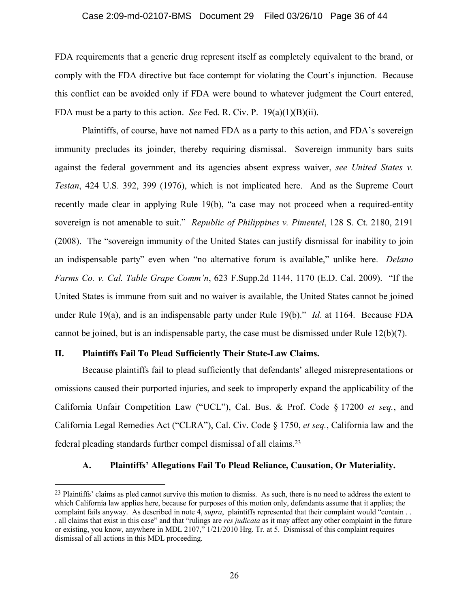#### Case 2:09-md-02107-BMS Document 29 Filed 03/26/10 Page 36 of 44

FDA requirements that a generic drug represent itself as completely equivalent to the brand, or comply with the FDA directive but face contempt for violating the Court's injunction. Because this conflict can be avoided only if FDA were bound to whatever judgment the Court entered, FDA must be a party to this action. *See* Fed. R. Civ. P. 19(a)(1)(B)(ii).

Plaintiffs, of course, have not named FDA as a party to this action, and FDA's sovereign immunity precludes its joinder, thereby requiring dismissal. Sovereign immunity bars suits against the federal government and its agencies absent express waiver, *see United States v. Testan*, 424 U.S. 392, 399 (1976), which is not implicated here. And as the Supreme Court recently made clear in applying Rule 19(b), "a case may not proceed when a required-entity sovereign is not amenable to suit." *Republic of Philippines v. Pimentel*, 128 S. Ct. 2180, 2191 (2008). The "sovereign immunity of the United States can justify dismissal for inability to join an indispensable party" even when "no alternative forum is available," unlike here. *Delano Farms Co. v. Cal. Table Grape Comm'n*, 623 F.Supp.2d 1144, 1170 (E.D. Cal. 2009). "If the United States is immune from suit and no waiver is available, the United States cannot be joined under Rule 19(a), and is an indispensable party under Rule 19(b)." *Id*. at 1164. Because FDA cannot be joined, but is an indispensable party, the case must be dismissed under Rule 12(b)(7).

#### **II. Plaintiffs Fail To Plead Sufficiently Their State-Law Claims.**

Because plaintiffs fail to plead sufficiently that defendants' alleged misrepresentations or omissions caused their purported injuries, and seek to improperly expand the applicability of the California Unfair Competition Law ("UCL"), Cal. Bus. & Prof. Code § 17200 *et seq.*, and California Legal Remedies Act ("CLRA"), Cal. Civ. Code § 1750, *et seq.*, California law and the federal pleading standards further compel dismissal of all claims.<sup>23</sup>

### **A. Plaintiffs' Allegations Fail To Plead Reliance, Causation, Or Materiality.**

<sup>&</sup>lt;sup>23</sup> Plaintiffs' claims as pled cannot survive this motion to dismiss. As such, there is no need to address the extent to which California law applies here, because for purposes of this motion only, defendants assume that it applies; the complaint fails anyway. As described in note 4, *supra*, plaintiffs represented that their complaint would "contain . . . all claims that exist in this case" and that "rulings are *res judicata* as it may affect any other complaint in the future or existing, you know, anywhere in MDL 2107," 1/21/2010 Hrg. Tr. at 5. Dismissal of this complaint requires dismissal of all actions in this MDL proceeding.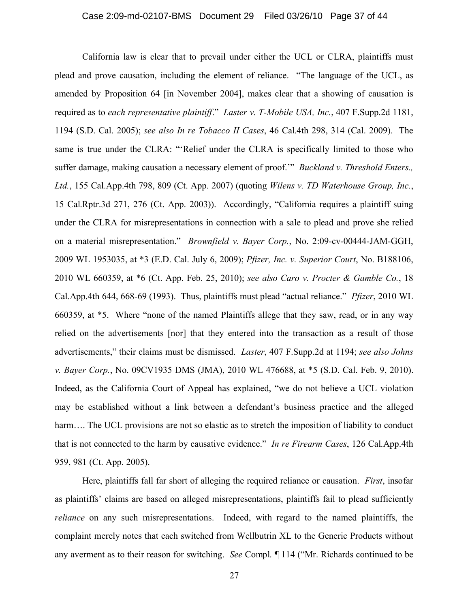California law is clear that to prevail under either the UCL or CLRA, plaintiffs must plead and prove causation, including the element of reliance. "The language of the UCL, as amended by Proposition 64 [in November 2004], makes clear that a showing of causation is required as to *each representative plaintiff*." *Laster v. T-Mobile USA, Inc.*, 407 F.Supp.2d 1181, 1194 (S.D. Cal. 2005); *see also In re Tobacco II Cases*, 46 Cal.4th 298, 314 (Cal. 2009). The same is true under the CLRA: "'Relief under the CLRA is specifically limited to those who suffer damage, making causation a necessary element of proof.'" *Buckland v. Threshold Enters., Ltd.*, 155 Cal.App.4th 798, 809 (Ct. App. 2007) (quoting *Wilens v. TD Waterhouse Group, Inc.*, 15 Cal.Rptr.3d 271, 276 (Ct. App. 2003)). Accordingly, "California requires a plaintiff suing under the CLRA for misrepresentations in connection with a sale to plead and prove she relied on a material misrepresentation." *Brownfield v. Bayer Corp.*, No. 2:09-cv-00444-JAM-GGH, 2009 WL 1953035, at \*3 (E.D. Cal. July 6, 2009); *Pfizer, Inc. v. Superior Court*, No. B188106, 2010 WL 660359, at \*6 (Ct. App. Feb. 25, 2010); *see also Caro v. Procter & Gamble Co.*, 18 Cal.App.4th 644, 668-69 (1993). Thus, plaintiffs must plead "actual reliance." *Pfizer*, 2010 WL 660359, at \*5. Where "none of the named Plaintiffs allege that they saw, read, or in any way relied on the advertisements [nor] that they entered into the transaction as a result of those advertisements," their claims must be dismissed. *Laster*, 407 F.Supp.2d at 1194; *see also Johns v. Bayer Corp.*, No. 09CV1935 DMS (JMA), 2010 WL 476688, at \*5 (S.D. Cal. Feb. 9, 2010). Indeed, as the California Court of Appeal has explained, "we do not believe a UCL violation may be established without a link between a defendant's business practice and the alleged harm.... The UCL provisions are not so elastic as to stretch the imposition of liability to conduct that is not connected to the harm by causative evidence." *In re Firearm Cases*, 126 Cal.App.4th 959, 981 (Ct. App. 2005).

Here, plaintiffs fall far short of alleging the required reliance or causation. *First*, insofar as plaintiffs' claims are based on alleged misrepresentations, plaintiffs fail to plead sufficiently *reliance* on any such misrepresentations. Indeed, with regard to the named plaintiffs, the complaint merely notes that each switched from Wellbutrin XL to the Generic Products without any averment as to their reason for switching. *See* Compl. ¶ 114 ("Mr. Richards continued to be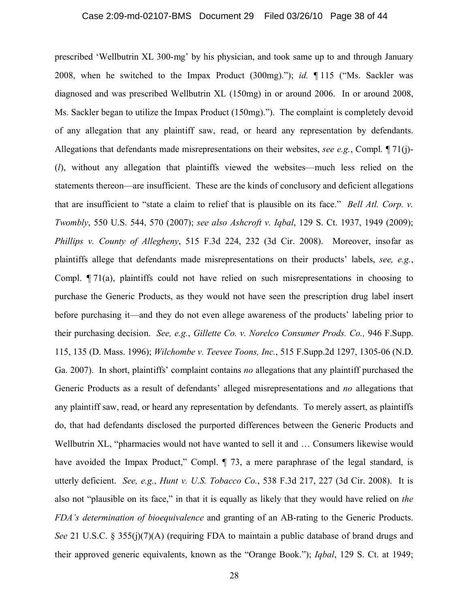prescribed 'Wellbutrin XL 300-mg' by his physician, and took same up to and through January 2008, when he switched to the Impax Product (300mg)."); *id.* ¶ 115 ("Ms. Sackler was diagnosed and was prescribed Wellbutrin XL (150mg) in or around 2006. In or around 2008, Ms. Sackler began to utilize the Impax Product (150mg)."). The complaint is completely devoid of any allegation that any plaintiff saw, read, or heard any representation by defendants. Allegations that defendants made misrepresentations on their websites, *see e.g.*, Compl. ¶ 71(j)- (*l*), without any allegation that plaintiffs viewed the websites—much less relied on the statements thereon—are insufficient. These are the kinds of conclusory and deficient allegations that are insufficient to "state a claim to relief that is plausible on its face." *Bell Atl. Corp. v. Twombly*, 550 U.S. 544, 570 (2007); *see also Ashcroft v. Iqbal*, 129 S. Ct. 1937, 1949 (2009); *Phillips v. County of Allegheny*, 515 F.3d 224, 232 (3d Cir. 2008). Moreover, insofar as plaintiffs allege that defendants made misrepresentations on their products' labels, *see, e.g.*, Compl. ¶ 71(a), plaintiffs could not have relied on such misrepresentations in choosing to purchase the Generic Products, as they would not have seen the prescription drug label insert before purchasing it—and they do not even allege awareness of the products' labeling prior to their purchasing decision. *See, e.g.*, *Gillette Co. v. Norelco Consumer Prods. Co.,* 946 F.Supp. 115, 135 (D. Mass. 1996); *Wilchombe v. Teevee Toons, Inc.*, 515 F.Supp.2d 1297, 1305-06 (N.D. Ga. 2007). In short, plaintiffs' complaint contains *no* allegations that any plaintiff purchased the Generic Products as a result of defendants' alleged misrepresentations and *no* allegations that any plaintiff saw, read, or heard any representation by defendants. To merely assert, as plaintiffs do, that had defendants disclosed the purported differences between the Generic Products and Wellbutrin XL, "pharmacies would not have wanted to sell it and … Consumers likewise would have avoided the Impax Product," Compl.  $\parallel$  73, a mere paraphrase of the legal standard, is utterly deficient. *See, e.g.*, *Hunt v. U.S. Tobacco Co.*, 538 F.3d 217, 227 (3d Cir. 2008). It is also not "plausible on its face," in that it is equally as likely that they would have relied on *the FDA's determination of bioequivalence* and granting of an AB-rating to the Generic Products. *See* 21 U.S.C. § 355(j)(7)(A) (requiring FDA to maintain a public database of brand drugs and their approved generic equivalents, known as the "Orange Book."); *Iqbal*, 129 S. Ct. at 1949;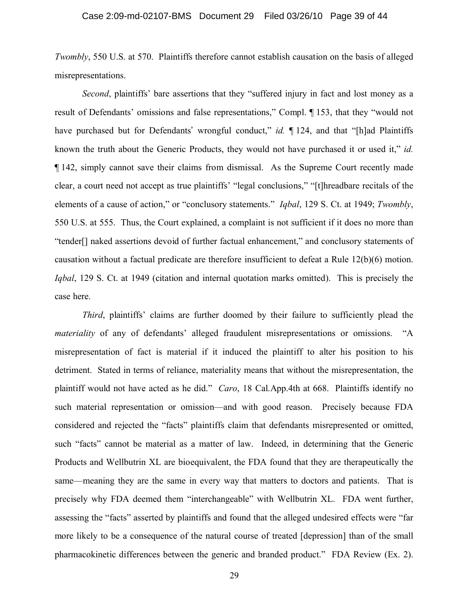*Twombly*, 550 U.S. at 570. Plaintiffs therefore cannot establish causation on the basis of alleged misrepresentations.

*Second*, plaintiffs' bare assertions that they "suffered injury in fact and lost money as a result of Defendants' omissions and false representations," Compl. ¶ 153, that they "would not have purchased but for Defendants' wrongful conduct," *id.* 124, and that "[h]ad Plaintiffs known the truth about the Generic Products, they would not have purchased it or used it," *id.* ¶ 142, simply cannot save their claims from dismissal. As the Supreme Court recently made clear, a court need not accept as true plaintiffs' "legal conclusions," "[t]hreadbare recitals of the elements of a cause of action," or "conclusory statements." *Iqbal*, 129 S. Ct. at 1949; *Twombly*, 550 U.S. at 555. Thus, the Court explained, a complaint is not sufficient if it does no more than "tender[] naked assertions devoid of further factual enhancement," and conclusory statements of causation without a factual predicate are therefore insufficient to defeat a Rule 12(b)(6) motion. *Iqbal*, 129 S. Ct. at 1949 (citation and internal quotation marks omitted). This is precisely the case here.

*Third*, plaintiffs' claims are further doomed by their failure to sufficiently plead the *materiality* of any of defendants' alleged fraudulent misrepresentations or omissions. "A misrepresentation of fact is material if it induced the plaintiff to alter his position to his detriment. Stated in terms of reliance, materiality means that without the misrepresentation, the plaintiff would not have acted as he did." *Caro*, 18 Cal.App.4th at 668. Plaintiffs identify no such material representation or omission—and with good reason. Precisely because FDA considered and rejected the "facts" plaintiffs claim that defendants misrepresented or omitted, such "facts" cannot be material as a matter of law. Indeed, in determining that the Generic Products and Wellbutrin XL are bioequivalent, the FDA found that they are therapeutically the same—meaning they are the same in every way that matters to doctors and patients. That is precisely why FDA deemed them "interchangeable" with Wellbutrin XL. FDA went further, assessing the "facts" asserted by plaintiffs and found that the alleged undesired effects were "far more likely to be a consequence of the natural course of treated [depression] than of the small pharmacokinetic differences between the generic and branded product." FDA Review (Ex. 2).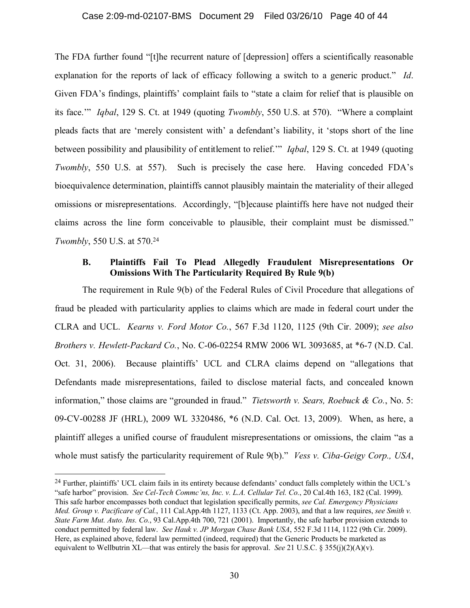#### Case 2:09-md-02107-BMS Document 29 Filed 03/26/10 Page 40 of 44

The FDA further found "[t]he recurrent nature of [depression] offers a scientifically reasonable explanation for the reports of lack of efficacy following a switch to a generic product." *Id*. Given FDA's findings, plaintiffs' complaint fails to "state a claim for relief that is plausible on its face.'" *Iqbal*, 129 S. Ct. at 1949 (quoting *Twombly*, 550 U.S. at 570). "Where a complaint pleads facts that are 'merely consistent with' a defendant's liability, it 'stops short of the line between possibility and plausibility of entitlement to relief.'" *Iqbal*, 129 S. Ct. at 1949 (quoting *Twombly*, 550 U.S. at 557). Such is precisely the case here. Having conceded FDA's bioequivalence determination, plaintiffs cannot plausibly maintain the materiality of their alleged omissions or misrepresentations. Accordingly, "[b]ecause plaintiffs here have not nudged their claims across the line form conceivable to plausible, their complaint must be dismissed." *Twombly*, 550 U.S. at 570.<sup>24</sup>

### **B. Plaintiffs Fail To Plead Allegedly Fraudulent Misrepresentations Or Omissions With The Particularity Required By Rule 9(b)**

The requirement in Rule 9(b) of the Federal Rules of Civil Procedure that allegations of fraud be pleaded with particularity applies to claims which are made in federal court under the CLRA and UCL. *Kearns v. Ford Motor Co.*, 567 F.3d 1120, 1125 (9th Cir. 2009); *see also Brothers v. Hewlett-Packard Co.*, No. C-06-02254 RMW 2006 WL 3093685, at \*6-7 (N.D. Cal. Oct. 31, 2006). Because plaintiffs' UCL and CLRA claims depend on "allegations that Defendants made misrepresentations, failed to disclose material facts, and concealed known information," those claims are "grounded in fraud." *Tietsworth v. Sears, Roebuck & Co.*, No. 5: 09-CV-00288 JF (HRL), 2009 WL 3320486, \*6 (N.D. Cal. Oct. 13, 2009). When, as here, a plaintiff alleges a unified course of fraudulent misrepresentations or omissions, the claim "as a whole must satisfy the particularity requirement of Rule 9(b)." *Vess v. Ciba-Geigy Corp., USA*,

<sup>&</sup>lt;sup>24</sup> Further, plaintiffs' UCL claim fails in its entirety because defendants' conduct falls completely within the UCL's "safe harbor" provision. *See Cel-Tech Commc'ns, Inc. v. L.A. Cellular Tel. Co.*, 20 Cal.4th 163, 182 (Cal. 1999). This safe harbor encompasses both conduct that legislation specifically permits, *see Cal. Emergency Physicians Med. Group v. Pacificare of Cal.*, 111 Cal.App.4th 1127, 1133 (Ct. App. 2003), and that a law requires, *see Smith v. State Farm Mut. Auto. Ins. Co.*, 93 Cal.App.4th 700, 721 (2001). Importantly, the safe harbor provision extends to conduct permitted by federal law. *See Hauk v. JP Morgan Chase Bank USA*, 552 F.3d 1114, 1122 (9th Cir. 2009). Here, as explained above, federal law permitted (indeed, required) that the Generic Products be marketed as equivalent to Wellbutrin XL—that was entirely the basis for approval. *See* 21 U.S.C. § 355(j)(2)(A)(v).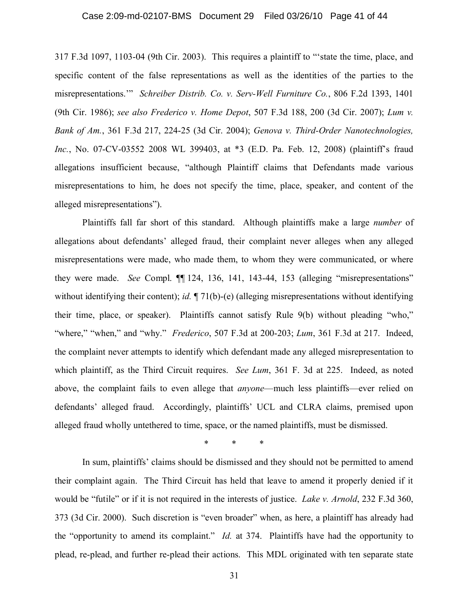#### Case 2:09-md-02107-BMS Document 29 Filed 03/26/10 Page 41 of 44

317 F.3d 1097, 1103-04 (9th Cir. 2003). This requires a plaintiff to "'state the time, place, and specific content of the false representations as well as the identities of the parties to the misrepresentations.'" *Schreiber Distrib. Co. v. Serv-Well Furniture Co.*, 806 F.2d 1393, 1401 (9th Cir. 1986); *see also Frederico v. Home Depot*, 507 F.3d 188, 200 (3d Cir. 2007); *Lum v. Bank of Am.*, 361 F.3d 217, 224-25 (3d Cir. 2004); *Genova v. Third-Order Nanotechnologies, Inc.*, No. 07-CV-03552 2008 WL 399403, at \*3 (E.D. Pa. Feb. 12, 2008) (plaintiff's fraud allegations insufficient because, "although Plaintiff claims that Defendants made various misrepresentations to him, he does not specify the time, place, speaker, and content of the alleged misrepresentations").

Plaintiffs fall far short of this standard. Although plaintiffs make a large *number* of allegations about defendants' alleged fraud, their complaint never alleges when any alleged misrepresentations were made, who made them, to whom they were communicated, or where they were made. *See* Compl. ¶¶ 124, 136, 141, 143-44, 153 (alleging "misrepresentations" without identifying their content); *id.*  $\P$  71(b)-(e) (alleging misrepresentations without identifying their time, place, or speaker). Plaintiffs cannot satisfy Rule 9(b) without pleading "who," "where," "when," and "why." *Frederico*, 507 F.3d at 200-203; *Lum*, 361 F.3d at 217. Indeed, the complaint never attempts to identify which defendant made any alleged misrepresentation to which plaintiff, as the Third Circuit requires. *See Lum*, 361 F. 3d at 225. Indeed, as noted above, the complaint fails to even allege that *anyone*—much less plaintiffs—ever relied on defendants' alleged fraud. Accordingly, plaintiffs' UCL and CLRA claims, premised upon alleged fraud wholly untethered to time, space, or the named plaintiffs, must be dismissed.

\* \* \*

In sum, plaintiffs' claims should be dismissed and they should not be permitted to amend their complaint again. The Third Circuit has held that leave to amend it properly denied if it would be "futile" or if it is not required in the interests of justice. *Lake v. Arnold*, 232 F.3d 360, 373 (3d Cir. 2000). Such discretion is "even broader" when, as here, a plaintiff has already had the "opportunity to amend its complaint." *Id.* at 374. Plaintiffs have had the opportunity to plead, re-plead, and further re-plead their actions. This MDL originated with ten separate state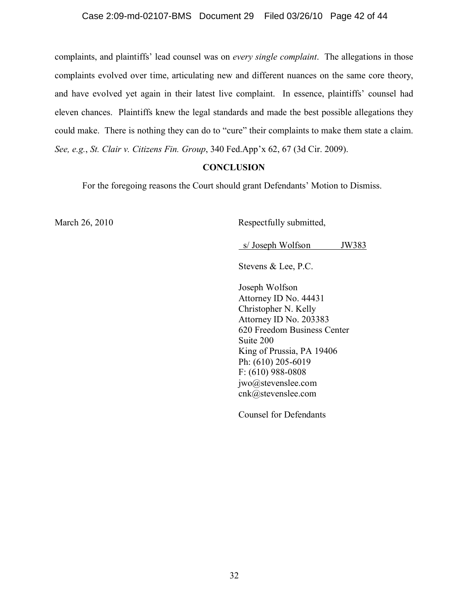### Case 2:09-md-02107-BMS Document 29 Filed 03/26/10 Page 42 of 44

complaints, and plaintiffs' lead counsel was on *every single complaint*. The allegations in those complaints evolved over time, articulating new and different nuances on the same core theory, and have evolved yet again in their latest live complaint. In essence, plaintiffs' counsel had eleven chances. Plaintiffs knew the legal standards and made the best possible allegations they could make. There is nothing they can do to "cure" their complaints to make them state a claim. *See, e.g.*, *St. Clair v. Citizens Fin. Group*, 340 Fed.App'x 62, 67 (3d Cir. 2009).

#### **CONCLUSION**

For the foregoing reasons the Court should grant Defendants' Motion to Dismiss.

March 26, 2010 Respectfully submitted,

s/Joseph Wolfson JW383

Stevens & Lee, P.C.

Joseph Wolfson Attorney ID No. 44431 Christopher N. Kelly Attorney ID No. 203383 620 Freedom Business Center Suite 200 King of Prussia, PA 19406 Ph: (610) 205-6019 F: (610) 988-0808 jwo@stevenslee.com cnk@stevenslee.com

Counsel for Defendants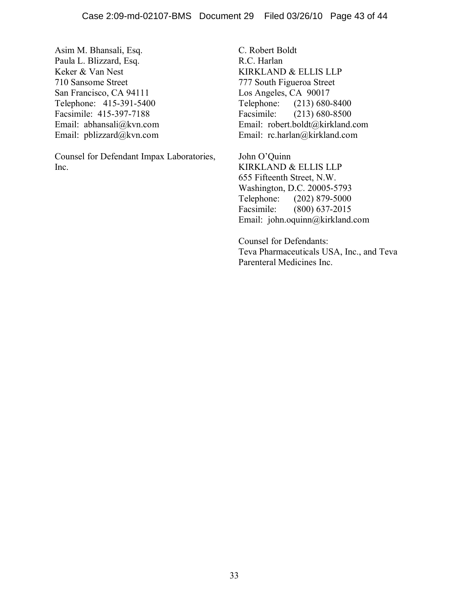Asim M. Bhansali, Esq. Paula L. Blizzard, Esq. Keker & Van Nest 710 Sansome Street San Francisco, CA 94111 Telephone: 415-391-5400 Facsimile: 415-397-7188 Email: abhansali@kvn.com Email: pblizzard@kvn.com

Counsel for Defendant Impax Laboratories, Inc.

C. Robert Boldt R.C. Harlan KIRKLAND & ELLIS LLP 777 South Figueroa Street Los Angeles, CA 90017 Telephone: (213) 680-8400 Facsimile: (213) 680-8500 Email: robert.boldt@kirkland.com Email: rc.harlan@kirkland.com

John O'Quinn KIRKLAND & ELLIS LLP 655 Fifteenth Street, N.W. Washington, D.C. 20005-5793 Telephone: (202) 879-5000 Facsimile: (800) 637-2015 Email: john.oquinn@kirkland.com

Counsel for Defendants: Teva Pharmaceuticals USA, Inc., and Teva Parenteral Medicines Inc.